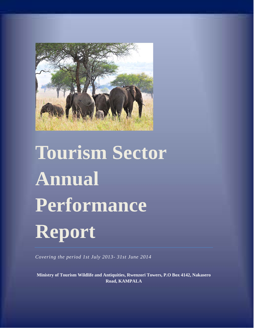

# **Tourism Sector Annual Performance Report**

*Covering the period 1st July 2013- 31st June 2014*

**Ministry of Tourism Wildlife and Antiquities, Rwenzori Towers, P.O Box 4142, Nakasero Road, KAMPALA**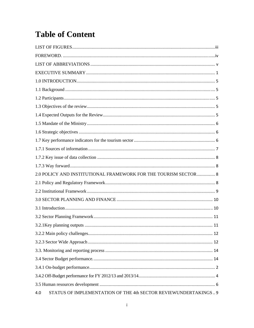# **Table of Content**

| 2.0 POLICY AND INSTITUTIONAL FRAMEWORK FOR THE TOURISM SECTOR 8        |  |
|------------------------------------------------------------------------|--|
|                                                                        |  |
|                                                                        |  |
|                                                                        |  |
|                                                                        |  |
|                                                                        |  |
|                                                                        |  |
|                                                                        |  |
|                                                                        |  |
|                                                                        |  |
|                                                                        |  |
|                                                                        |  |
|                                                                        |  |
|                                                                        |  |
| STATUS OF IMPLEMENTATION OF THE 4th SECTOR REVIEWUNDERTAKINGS 9<br>4.0 |  |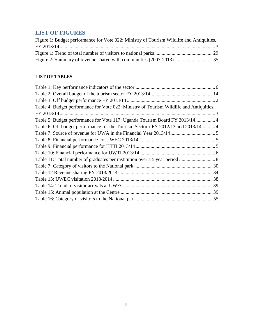# **LIST OF FIGURES**

| Figure 1: Budget performance for Vote 022: Ministry of Tourism Wildlife and Antiquities, |  |
|------------------------------------------------------------------------------------------|--|
|                                                                                          |  |
|                                                                                          |  |
|                                                                                          |  |

# **LIST OF TABLES**

| Table 4: Budget performance for Vote 022: Ministry of Tourism Wildlife and Antiquities, |  |
|-----------------------------------------------------------------------------------------|--|
| FY 2013/14                                                                              |  |
| Table 5: Budget performance for Vote 117: Uganda Tourism Board FY 2013/14 4             |  |
| Table 6: Off budget performance for the Tourism Sector r FY 2012/13 and 2013/14 4       |  |
|                                                                                         |  |
|                                                                                         |  |
|                                                                                         |  |
|                                                                                         |  |
|                                                                                         |  |
|                                                                                         |  |
|                                                                                         |  |
|                                                                                         |  |
|                                                                                         |  |
|                                                                                         |  |
|                                                                                         |  |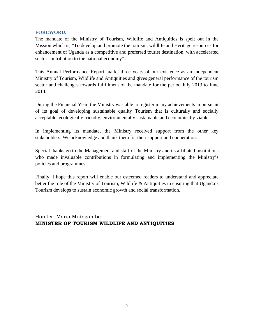#### **FOREWORD.**

The mandate of the Ministry of Tourism, Wildlife and Antiquities is spelt out in the Mission which is, "To develop and promote the tourism, wildlife and Heritage resources for enhancement of Uganda as a competitive and preferred tourist destination, with accelerated sector contribution to the national economy".

This Annual Performance Report marks three years of our existence as an independent Ministry of Tourism, Wildlife and Antiquities and gives general performance of the tourism sector and challenges towards fulfillment of the mandate for the period July 2013 to June 2014.

During the Financial Year, the Ministry was able to register many achievements in pursuant of its goal of developing sustainable quality Tourism that is culturally and socially acceptable, ecologically friendly, environmentally sustainable and economically viable.

In implementing its mandate, the Ministry received support from the other key stakeholders. We acknowledge and thank them for their support and cooperation.

Special thanks go to the Management and staff of the Ministry and its affiliated institutions who made invaluable contributions in formulating and implementing the Ministry's policies and programmes.

Finally, I hope this report will enable our esteemed readers to understand and appreciate better the role of the Ministry of Tourism, Wildlife & Antiquities in ensuring that Uganda's Tourism develops to sustain economic growth and social transformation.

Hon Dr. Maria Mutagamba **MINISTER OF TOURISM WILDLIFE AND ANTIQUITIES**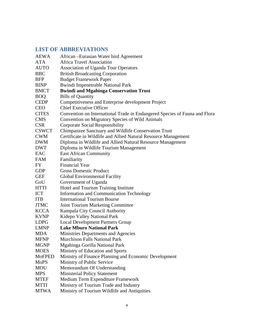|               | <b>LIST OF ABBREVIATIONS</b>                                               |
|---------------|----------------------------------------------------------------------------|
| <b>AEWA</b>   | African – Eurasian Water bird Agreement                                    |
| <b>ATA</b>    | <b>Africa Travel Association</b>                                           |
| <b>AUTO</b>   | <b>Association of Uganda Tour Operators</b>                                |
| <b>BBC</b>    | <b>British Broadcasting Corporation</b>                                    |
| <b>BFP</b>    | <b>Budget Framework Paper</b>                                              |
| <b>BINP</b>   | <b>Bwindi Impenetrable National Park</b>                                   |
| <b>BMCT</b>   | <b>Bwindi and Mgahinga Conservation Trust</b>                              |
| <b>BOQ</b>    | <b>Bills of Quantity</b>                                                   |
| <b>CEDP</b>   | Competitiveness and Enterprise development Project                         |
| <b>CEO</b>    | <b>Chief Executive Officer</b>                                             |
| <b>CITES</b>  | Convention on International Trade in Endangered Species of Fauna and Flora |
| <b>CMS</b>    | Convention on Migratory Species of Wild Animals                            |
| <b>CSR</b>    | <b>Corporate Social Responsibility</b>                                     |
| <b>CSWCT</b>  | Chimpanzee Sanctuary and Wildlife Conservation Trust                       |
| <b>CWM</b>    | Certificate in Wildlife and Allied Natural Resource Management             |
| <b>DWM</b>    | Diploma in Wildlife and Allied Natural Resource Management                 |
| <b>DWT</b>    | Diploma in Wildlife Tourism Management                                     |
| EAC           | <b>East African Community</b>                                              |
| <b>FAM</b>    | Familiarity                                                                |
| FY            | <b>Financial Year</b>                                                      |
| <b>GDP</b>    | <b>Gross Domestic Product</b>                                              |
| <b>GEF</b>    | Global Environmental Facility                                              |
| GoU           | Government of Uganda                                                       |
| <b>HTTI</b>   | Hotel and Tourism Training Institute                                       |
| <b>ICT</b>    | Information and Communication Technology                                   |
| <b>ITB</b>    | <b>International Tourism Bourse</b>                                        |
| <b>JTMC</b>   | <b>Joint Tourism Marketing Committee</b>                                   |
| <b>KCCA</b>   | Kampala City Council Authority                                             |
| <b>KVNP</b>   | Kidepo Valley National Park                                                |
| <b>LDPG</b>   | <b>Local Development Partners Group</b>                                    |
| <b>LMNP</b>   | <b>Lake Mburo National Park</b>                                            |
| <b>MDA</b>    | Ministries Departments and Agencies                                        |
| <b>MFNP</b>   | <b>Murchison Falls National Park</b>                                       |
| <b>MGNP</b>   | Mgahinga Gorilla National Park                                             |
| <b>MOES</b>   | Ministry of Education and Sports                                           |
| <b>MoFPED</b> | Ministry of Finance Planning and Economic Development                      |
| <b>MoPS</b>   | Ministry of Public Service                                                 |
| <b>MOU</b>    | Memorandum Of Understanding                                                |
| <b>MPS</b>    | <b>Ministerial Policy Statement</b>                                        |
| <b>MTEF</b>   | Medium Term Expenditure Framework                                          |
| <b>MTTI</b>   | Ministry of Tourism Trade and Industry                                     |
|               |                                                                            |

MTWA Ministry of Tourism Wildlife and Antiquities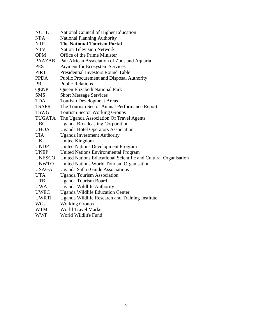| <b>NCHE</b>   | National Council of Higher Education                            |
|---------------|-----------------------------------------------------------------|
| <b>NPA</b>    | <b>National Planning Authority</b>                              |
| <b>NTP</b>    | <b>The National Tourism Portal</b>                              |
| <b>NTV</b>    | <b>Nation Television Network</b>                                |
| <b>OPM</b>    | Office of the Prime Minister                                    |
| <b>PAAZAB</b> | Pan African Association of Zoos and Aquaria                     |
| <b>PES</b>    | <b>Payment for Ecosystem Services</b>                           |
| PIRT          | <b>Presidential Investors Round Table</b>                       |
| <b>PPDA</b>   | <b>Public Procurement and Disposal Authority</b>                |
| <b>PR</b>     | <b>Public Relations</b>                                         |
| <b>QENP</b>   | Queen Elizabeth National Park                                   |
| <b>SMS</b>    | <b>Short Message Services</b>                                   |
| <b>TDA</b>    | <b>Tourism Development Areas</b>                                |
| <b>TSAPR</b>  | The Tourism Sector Annual Performance Report                    |
| <b>TSWG</b>   | <b>Tourism Sector Working Groups</b>                            |
| <b>TUGATA</b> | The Uganda Association Of Travel Agents                         |
| <b>UBC</b>    | <b>Uganda Broadcasting Corporation</b>                          |
| <b>UHOA</b>   | <b>Uganda Hotel Operators Association</b>                       |
| <b>UIA</b>    | <b>Uganda Investment Authority</b>                              |
| UK.           | <b>United Kingdom</b>                                           |
| <b>UNDP</b>   | <b>United Nations Development Program</b>                       |
| <b>UNEP</b>   | <b>United Nations Environmental Program</b>                     |
| <b>UNESCO</b> | United Nations Educational Scientific and Cultural Organisation |
| <b>UNWTO</b>  | United Nations World Tourism Organisation                       |
| <b>USAGA</b>  | Uganda Safari Guide Associations                                |
| <b>UTA</b>    | <b>Uganda Tourism Association</b>                               |
| <b>UTB</b>    | <b>Uganda Tourism Board</b>                                     |
| <b>UWA</b>    | <b>Uganda Wildlife Authority</b>                                |
| <b>UWEC</b>   | <b>Uganda Wildlife Education Center</b>                         |
| <b>UWRTI</b>  | Uganda Wildlife Research and Training Institute                 |
| <b>WGs</b>    | <b>Working Groups</b>                                           |
| WTM           | <b>World Travel Market</b>                                      |
| <b>WWF</b>    | World Wildlife Fund                                             |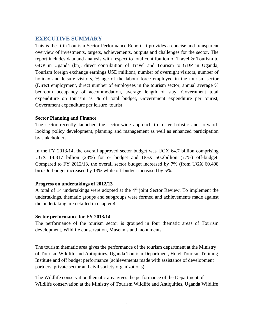# **EXECUTIVE SUMMARY**

This is the fifth Tourism Sector Performance Report. It provides a concise and transparent overview of investments, targets, achievements, outputs and challenges for the sector. The report includes data and analysis with respect to total contribution of Travel & Tourism to GDP in Uganda (bn), direct contribution of Travel and Tourism to GDP in Uganda, Tourism foreign exchange earnings USD(million), number of overnight visitors, number of holiday and leisure visitors, % age of the labour force employed in the tourism sector (Direct employment, direct number of employees in the tourism sector, annual average % bedroom occupancy of accommodation, average length of stay, Government total expenditure on tourism as % of total budget, Government expenditure per tourist, Government expenditure per leisure tourist

#### **Sector Planning and Finance**

The sector recently launched the sector-wide approach to foster holistic and forwardlooking policy development, planning and management as well as enhanced participation by stakeholders.

In the FY 2013/14, the overall approved sector budget was UGX 64.7 billion comprising UGX 14.817 billion (23%) for o- budget and UGX 50.2billion (77%) off-budget. Compared to FY 2012/13, the overall sector budget increased by 7% (from UGX 60.498 bn). On-budget increased by 13% while off-budget increased by 5%.

#### **Progress on undertakings of 2012/13**

A total of 14 undertakings were adopted at the  $4<sup>th</sup>$  joint Sector Review. To implement the undertakings, thematic groups and subgroups were formed and achievements made against the undertaking are detailed in chapter 4.

#### **Sector performance for FY 2013/14**

The performance of the tourism sector is grouped in four thematic areas of Tourism development, Wildlife conservation, Museums and monuments.

The tourism thematic area gives the performance of the tourism department at the Ministry of Tourism Wildlife and Antiquities, Uganda Tourism Department, Hotel Tourism Training Institute and off budget performance (achievements made with assistance of development partners, private sector and civil society organizations).

The Wildlife conservation thematic area gives the performance of the Department of Wildlife conservation at the Ministry of Tourism Wildlife and Antiquities, Uganda Wildlife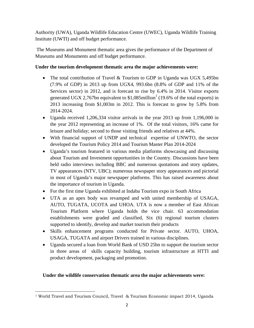Authority (UWA), Uganda Wildlife Education Centre (UWEC), Uganda Wildlife Training Institute (UWTI) and off budget performance.

 The Museums and Monument thematic area gives the performance of the Department of Museums and Monuments and off budget performance.

#### **Under the tourism development thematic area the major achievements were:**

- The total contribution of Travel & Tourism to GDP in Uganda was UGX 5,495bn (7.9% of GDP) in 2013 up from UGX4, 993.6bn (8.8% of GDP and 11% of the Services sector) in 2012, and is forecast to rise by 6.4% in 2014. Visitor exports generated UGX 2,767bn equivalent to  $$1,085$ million<sup>1</sup> (19.6% of the total exports) in 2013 increasing from \$1,003m in 2012. This is forecast to grow by 5.8% from 2014-2024.
- Uganda received 1,206,334 visitor arrivals in the year 2013 up from 1,196,000 in the year 2012 representing an increase of 1%. Of the total visitors, 16% came for leisure and holiday; second to those visiting friends and relatives at 44%.
- With financial support of UNDP and technical expertise of UNWTO, the sector developed the Tourism Policy 2014 and Tourism Master Plan 2014-2024
- Uganda's tourism featured in various media platforms showcasing and discussing about Tourism and Investment opportunities in the Country. Discussions have been held radio interviews including BBC and numerous quotations and story updates, TV appearances (NTV, UBC); numerous newspaper story appearances and pictorial in most of Uganda's major newspaper platforms. This has raised awareness about the importance of tourism in Uganda.
- For the first time Uganda exhibited at Indaba Tourism expo in South Africa
- UTA as an apex body was revamped and with united membership of USAGA, AUTO, TUGATA, UCOTA and UHOA. UTA is now a member of East African Tourism Platform where Uganda holds the vice chair. 63 accommodation establishments were graded and classified, Six (6) regional tourism clusters supported to identify, develop and market tourism their products
- Skills enhancement programs conducted for Private sector. AUTO, UHOA, USAGA, TUGATA and airport Drivers trained in various disciplines.
- Uganda secured a loan from World Bank of USD 25bn to support the tourism sector in three areas of skills capacity building, tourism infrastructure at HTTI and product development, packaging and promotion.

#### **Under the wildlife conservation thematic area the major achievements were:**

 <sup>1</sup> World Travel and Tourism Council, Travel & Tourism Economic impact 2014, Uganda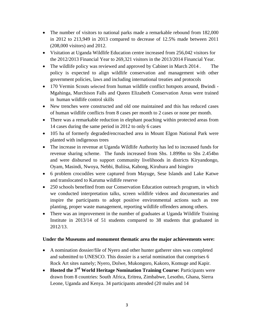- The number of visitors to national parks made a remarkable rebound from 182,000 in 2012 to 213,949 in 2013 compared to decrease of 12.5% made between 2011 (208,000 visitors) and 2012.
- Visitation at Uganda Wildlife Education centre increased from 256,042 visitors for the 2012/2013 Financial Year to 269,321 visitors in the 2013/2014 Financial Year.
- The wildlife policy was reviewed and approved by Cabinet in March 2014. The policy is expected to align wildlife conservation and management with other government policies, laws and including international treaties and protocols
- 170 Vermin Scouts selected from human wildlife conflict hotspots around, Bwindi Mgahinga, Murchison Falls and Queen Elizabeth Conservation Areas were trained in human wildlife control skills
- New trenches were constructed and old one maintained and this has reduced cases of human wildlife conflicts from 8 cases per month to 2 cases or none per month.
- There was a remarkable reduction in elephant poaching within protected areas from 14 cases during the same period in 2012 to only 6 cases
- 105 ha of formerly degraded/encroached area in Mount Elgon National Park were planted with indigenous trees
- The increase in revenue at Uganda Wildlife Authority has led to increased funds for revenue sharing scheme. The funds increased from Shs. 1.899bn to Shs 2.454bn and were disbursed to support community livelihoods in districts Kiryandongo, Oyam, Masindi, Nwoya, Nebbi, Buliisa, Kabong, Kiruhura and Isingiro
- 6 problem crocodiles were captured from Mayuge, Sese Islands and Lake Katwe and translocated to Karuma wildlife reserve
- 250 schools benefited from our Conservation Education outreach program, in which we conducted interpretation talks, screen wildlife videos and documentaries and inspire the participants to adopt positive environmental actions such as tree planting, proper waste management, reporting wildlife offenders among others.
- There was an improvement in the number of graduates at Uganda Wildlife Training Institute in 2013/14 of 51 students compared to 38 students that graduated in 2012/13.

#### **Under the Museums and monument thematic area the major achievements were:**

- A nomination dossier/file of Nyero and other hunter gatherer sites was completed and submitted to UNESCO. This dossier is a serial nomination that comprises 6 Rock Art sites namely; Nyero, Dolwe, Mukongoro, Kakoro, Komuge and Kapir.
- **Hosted the 3rd World Heritage Nomination Training Course:** Participants were drawn from 8 countries: South Africa, Eritrea, Zimbabwe, Lesotho, Ghana, Sierra Leone, Uganda and Kenya. 34 participants attended (20 males and 14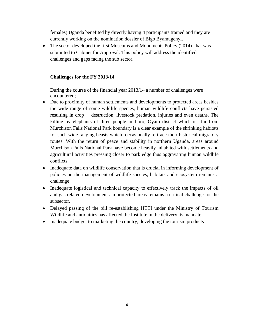females).Uganda benefited by directly having 4 participants trained and they are currently working on the nomination dossier of Bigo Byamugenyi.

• The sector developed the first Museums and Monuments Policy (2014) that was submitted to Cabinet for Approval. This policy will address the identified challenges and gaps facing the sub sector.

#### **Challenges for the FY 2013/14**

During the course of the financial year 2013/14 a number of challenges were encountered;

- Due to proximity of human settlements and developments to protected areas besides the wide range of some wildlife species, human wildlife conflicts have persisted resulting in crop destruction, livestock predation, injuries and even deaths. The killing by elephants of three people in Loro, Oyam district which is far from Murchison Falls National Park boundary is a clear example of the shrinking habitats for such wide ranging beasts which occasionally re-trace their historical migratory routes. With the return of peace and stability in northern Uganda, areas around Murchison Falls National Park have become heavily inhabited with settlements and agricultural activities pressing closer to park edge thus aggravating human wildlife conflicts.
- Inadequate data on wildlife conservation that is crucial in informing development of policies on the management of wildlife species, habitats and ecosystem remains a challenge
- Inadequate logistical and technical capacity to effectively track the impacts of oil and gas related developments in protected areas remains a critical challenge for the subsector.
- Delayed passing of the bill re-establishing HTTI under the Ministry of Tourism Wildlife and antiquities has affected the Institute in the delivery its mandate
- Inadequate budget to marketing the country, developing the tourism products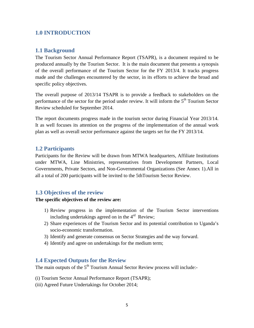# **1.0 INTRODUCTION**

#### **1.1 Background**

The Tourism Sector Annual Performance Report (TSAPR), is a document required to be produced annually by the Tourism Sector. It is the main document that presents a synopsis of the overall performance of the Tourism Sector for the FY 2013/4. It tracks progress made and the challenges encountered by the sector, in its efforts to achieve the broad and specific policy objectives.

The overall purpose of 2013/14 TSAPR is to provide a feedback to stakeholders on the performance of the sector for the period under review. It will inform the  $5<sup>th</sup>$  Tourism Sector Review scheduled for September 2014.

The report documents progress made in the tourism sector during Financial Year 2013/14. It as well focuses its attention on the progress of the implementation of the annual work plan as well as overall sector performance against the targets set for the FY 2013/14.

#### **1.2 Participants**

Participants for the Review will be drawn from MTWA headquarters, Affiliate Institutions under MTWA, Line Ministries, representatives from Development Partners, Local Governments, Private Sectors, and Non-Governmental Organizations (See Annex 1).All in all a total of 200 participants will be invited to the 5thTourism Sector Review.

#### **1.3 Objectives of the review**

#### **The specific objectives of the review are:**

- 1) Review progress in the implementation of the Tourism Sector interventions including undertakings agreed on in the  $4<sup>rd</sup>$  Review;
- 2) Share experiences of the Tourism Sector and its potential contribution to Uganda's socio-economic transformation.
- 3) Identify and generate consensus on Sector Strategies and the way forward.
- 4) Identify and agree on undertakings for the medium term;

#### **1.4 Expected Outputs for the Review**

The main outputs of the  $5<sup>th</sup>$  Tourism Annual Sector Review process will include:-

- (i) Tourism Sector Annual Performance Report (TSAPR);
- (iii) Agreed Future Undertakings for October 2014;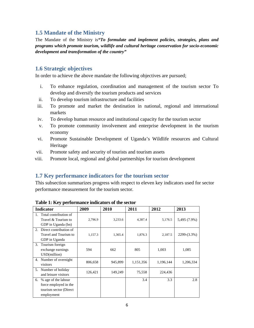# **1.5 Mandate of the Ministry**

The Mandate of the Ministry is*"To formulate and implement policies, strategies, plans and programs which promote tourism, wildlife and cultural heritage conservation for socio-economic development and transformation of the country"*

## **1.6 Strategic objectives**

In order to achieve the above mandate the following objectives are pursued;

- i. To enhance regulation, coordination and management of the tourism sector To develop and diversify the tourism products and services
- ii. To develop tourism infrastructure and facilities
- iii. To promote and market the destination in national, regional and international markets
- iv. To develop human resource and institutional capacity for the tourism sector
- v. To promote community involvement and enterprise development in the tourism economy
- vi. Promote Sustainable Development of Uganda's Wildlife resources and Cultural Heritage
- vii. Promote safety and security of tourists and tourism assets
- viii. Promote local, regional and global partnerships for tourism development

#### **1.7 Key performance indicators for the tourism sector**

This subsection summarizes progress with respect to eleven key indicators used for sector performance measurement for the tourism sector.

|    | <b>Indicator</b>                                                                      | 2009    | 2010    | 2011      | 2012      | 2013         |
|----|---------------------------------------------------------------------------------------|---------|---------|-----------|-----------|--------------|
|    | Total contribution of<br>Travel & Tourism to<br>GDP in Uganda (bn)                    | 2,796.9 | 3,233.6 | 4,387.4   | 5,176.5   | 5,495 (7.9%) |
| 2. | Direct contribution of<br>Travel and Tourism to<br>GDP in Uganda                      | 1,157.3 | 1,365.4 | 1,876.3   | 2,187.5   | 2299-(3.3%)  |
| 3. | Tourism foreign<br>exchange earnings<br>USD(million)                                  | 594     | 662     | 805       | 1,003     | 1,085        |
| 4. | Number of overnight<br>visitors                                                       | 806,658 | 945,899 | 1,151,356 | 1,196,144 | 1,206,334    |
| 5. | Number of holiday<br>and leisure visitors                                             | 126,421 | 149,249 | 75,558    | 224,436   |              |
| 6. | % age of the labour<br>force employed in the<br>tourism sector (Direct)<br>employment |         |         | 3.4       | 3.3       | 2.8          |

**Table 1: Key performance indicators of the sector**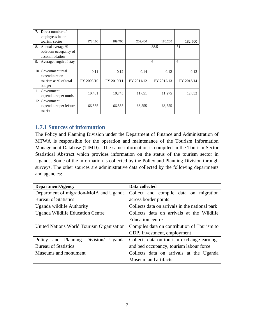| Direct number of          |            |            |            |            |            |
|---------------------------|------------|------------|------------|------------|------------|
| employees in the          |            |            |            |            |            |
| tourism sector            | 173,100    | 189,700    | 202,400    | 186,200    | 182,500    |
| 8.<br>Annual average %    |            |            |            | 38.5       | 51         |
| bedroom occupancy of      |            |            |            |            |            |
| accommodation             |            |            |            |            |            |
| 9. Average length of stay |            |            |            | 6          | 6          |
|                           |            |            |            |            |            |
| 10. Government total      | 0.11       | 0.12       | 0.14       | 0.12       | 0.12       |
| expenditure on            |            |            |            |            |            |
| tourism as % of total     | FY 2009/10 | FY 2010/11 | FY 2011/12 | FY 2012/13 | FY 2013/14 |
| budget                    |            |            |            |            |            |
| 11. Government            | 10,431     | 10,745     | 11,651     | 11,275     | 12,032     |
| expenditure per tourist   |            |            |            |            |            |
| 12. Government            |            |            |            |            |            |
| expenditure per leisure   | 66,555     | 66,555     | 66,555     | 66,555     |            |
| tourist                   |            |            |            |            |            |

# **1.7.1 Sources of information**

The Policy and Planning Division under the Department of Finance and Administration of MTWA is responsible for the operation and maintenance of the Tourism Information Management Database (TIMD). The same information is compiled in the Tourism Sector Statistical Abstract which provides information on the status of the tourism sector in Uganda. Some of the information is collected by the Policy and Planning Division through surveys. The other sources are administrative data collected by the following departments and agencies:

| <b>Department/Agency</b>                  | Data collected                                 |  |  |
|-------------------------------------------|------------------------------------------------|--|--|
| Department of migration-MoIA and Uganda   | Collect and compile data on migration          |  |  |
| <b>Bureau of Statistics</b>               | across border points                           |  |  |
| Uganda wildlife Authority                 | Collects data on arrivals in the national park |  |  |
| Uganda Wildlife Education Centre          | Collects data on arrivals at the Wildlife      |  |  |
|                                           | Education centre                               |  |  |
| United Nations World Tourism Organisation | Compiles data on contribution of Tourism to    |  |  |
|                                           | GDP, Investment, employment                    |  |  |
| Policy and Planning Division<br>Uganda    | Collects data on tourism exchange earnings     |  |  |
| <b>Bureau of Statistics</b>               | and bed occupancy, tourism labour force        |  |  |
| Museums and monument                      | Collects data on arrivals at the Uganda        |  |  |
|                                           | Museum and artifacts                           |  |  |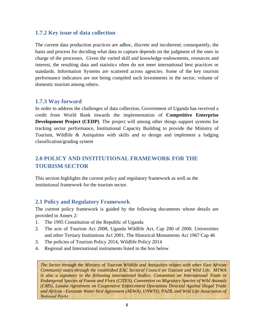# **1.7.2 Key issue of data collection**

The current data production practices are adhoc, discrete and incoherent; consequently, the basis and process for deciding what data to capture depends on the judgment of the ones in charge of the processes. Given the varied skill and knowledge endowments, resources and interest, the resulting data and statistics often do not meet international best practices or standards. Information Systems are scattered across agencies. Some of the key tourism performance indicators are not being compiled such investments in the sector, volume of domestic tourism among others.

#### **1.7.3 Way forward**

In order to address the challenges of data collection, Government of Uganda has received a credit from World Bank towards the implementation of **Competitive Enterprise Development Project (CEDP)**. The project will among other things support systems for tracking sector performance, Institutional Capacity Building to provide the Ministry of Tourism, Wildlife & Antiquities with skills and to design and implement a lodging classification/grading system

# **2.0 POLICY AND INSTITUTIONAL FRAMEWORK FOR THE TOURISM SECTOR**

This section highlights the current policy and regulatory framework as well as the institutional framework for the tourism sector.

#### **2.1 Policy and Regulatory Framework**

The current policy framework is guided by the following documents whose details are provided in Annex 2:

- 1. The 1995 Constitution of the Republic of Uganda
- 2. The acts of Tourism Act 2008, Uganda Wildlife Act, Cap 200 of 2000, Universities and other Tertiary Institutions Act 2001, The Historical Monuments Act 1967 Cap 46
- 3. The policies of Tourism Policy 2014, Wildlife Policy 2014
- 4. Regional and International instruments listed in the box below

*The Sector through the Ministry of Tourism Wildlife and Antiquities relates with other East African Community states through the established EAC Sectoral Council on Tourism and Wild Life. MTWA is also a signatory to the following international bodies: Convention on International Trade in Endangered Species of Fauna and Flora (CITES), Convention on Migratory Species of Wild Animals (CMS), Lusaka Agreement on Cooperative Enforcement Operations Directed Against Illegal Trade and African –Eurasian Water bird Agreement (AEWA), UNWTO, PAZB, and Wild Life Association of National Parks*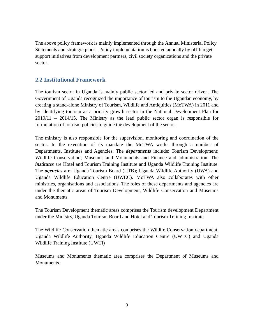The above policy framework is mainly implemented through the Annual Ministerial Policy Statements and strategic plans. Policy implementation is boosted annually by off-budget support initiatives from development partners, civil society organizations and the private sector.

## **2.2 Institutional Framework**

The tourism sector in Uganda is mainly public sector led and private sector driven. The Government of Uganda recognized the importance of tourism to the Ugandan economy, by creating a stand-alone Ministry of Tourism, Wildlife and Antiquities (MoTWA) in 2011 and by identifying tourism as a priority growth sector in the National Development Plan for 2010/11 – 2014/15. The Ministry as the lead public sector organ is responsible for formulation of tourism policies to guide the development of the sector.

The ministry is also responsible for the supervision, monitoring and coordination of the sector. In the execution of its mandate the MoTWA works through a number of Departments, Institutes and Agencies. The *departments* include: Tourism Development; Wildlife Conservation; Museums and Monuments and Finance and administration. The *institutes* are Hotel and Tourism Training Institute and Uganda Wildlife Training Institute. The *agencies* are: Uganda Tourism Board (UTB); Uganda Wildlife Authority (UWA) and Uganda Wildlife Education Centre (UWEC). MoTWA also collaborates with other ministries, organisations and associations. The roles of these departments and agencies are under the thematic areas of Tourism Development, Wildlife Conservation and Museums and Monuments.

The Tourism Development thematic areas comprises the Tourism development Department under the Ministry, Uganda Tourism Board and Hotel and Tourism Training Institute

The Wildlife Conservation thematic areas comprises the Wildife Conservation department, Uganda Wildlife Authority, Uganda Wildlife Education Centre (UWEC) and Uganda Wildlife Training Institute (UWTI)

Museums and Monuments thematic area comprises the Department of Museums and Monuments.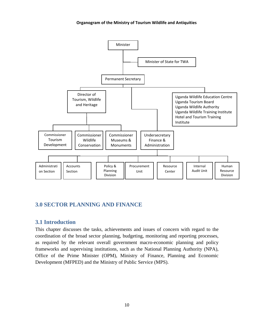#### **Organogram of the Ministry of Tourism Wildlife and Antiquities**



# **3.0 SECTOR PLANNING AND FINANCE**

#### **3.1 Introduction**

This chapter discusses the tasks, achievements and issues of concern with regard to the coordination of the broad sector planning, budgeting, monitoring and reporting processes, as required by the relevant overall government macro-economic planning and policy frameworks and supervising institutions, such as the National Planning Authority (NPA), Office of the Prime Minister (OPM), Ministry of Finance, Planning and Economic Development (MFPED) and the Ministry of Public Service (MPS).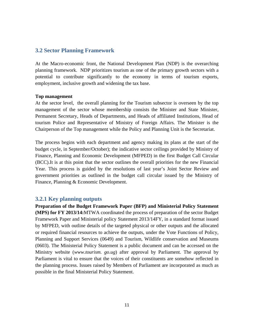#### **3.2 Sector Planning Framework**

At the Macro-economic front, the National Development Plan (NDP) is the overarching planning framework. NDP prioritizes tourism as one of the primary growth sectors with a potential to contribute significantly to the economy in terms of tourism exports, employment, inclusive growth and widening the tax base.

#### **Top management**

At the sector level, the overall planning for the Tourism subsector is overseen by the top management of the sector whose membership consists the Minister and State Minister, Permanent Secretary, Heads of Departments, and Heads of affiliated Institutions, Head of tourism Police and Representative of Ministry of Foreign Affairs. The Minister is the Chairperson of the Top management while the Policy and Planning Unit is the Secretariat.

The process begins with each department and agency making its plans at the start of the budget cycle, in September/October); the indicative sector ceilings provided by Ministry of Finance, Planning and Economic Development (MFPED) in the first Budget Call Circular (BCC).It is at this point that the sector outlines the overall priorities for the new Financial Year. This process is guided by the resolutions of last year's Joint Sector Review and government priorities as outlined in the budget call circular issued by the Ministry of Finance, Planning & Economic Development.

#### **3.2.1 Key planning outputs**

**Preparation of the Budget Framework Paper (BFP) and Ministerial Policy Statement (MPS) for FY 2013/14:**MTWA coordinated the process of preparation of the sector Budget Framework Paper and Ministerial policy Statement 2013/14FY, in a standard format issued by MFPED, with outline details of the targeted physical or other outputs and the allocated or required financial resources to achieve the outputs, under the Vote Functions of Policy, Planning and Support Services (0649) and Tourism, Wildlife conservation and Museums (0603). The Ministerial Policy Statement is a public document and can be accessed on the Ministry website (*www.tourism. go.ug*) after approval by Parliament. The approval by Parliament is vital to ensure that the voices of their constituents are somehow reflected in the planning process. Issues raised by Members of Parliament are incorporated as much as possible in the final Ministerial Policy Statement.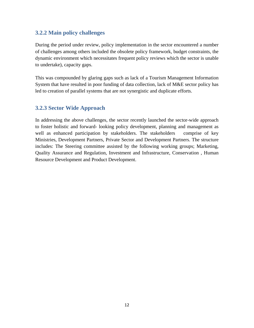# **3.2.2 Main policy challenges**

During the period under review, policy implementation in the sector encountered a number of challenges among others included the obsolete policy framework, budget constraints, the dynamic environment which necessitates frequent policy reviews which the sector is unable to undertake), capacity gaps.

This was compounded by glaring gaps such as lack of a Tourism Management Information System that have resulted in poor funding of data collection, lack of M&E sector policy has led to creation of parallel systems that are not synergistic and duplicate efforts.

# **3.2.3 Sector Wide Approach**

In addressing the above challenges, the sector recently launched the sector-wide approach to foster holistic and forward- looking policy development, planning and management as well as enhanced participation by stakeholders. The stakeholders comprise of key Ministries, Development Partners, Private Sector and Development Partners. The structure includes: The Steering committee assisted by the following working groups; Marketing, Quality Assurance and Regulation, Investment and Infrastructure, Conservation , Human Resource Development and Product Development.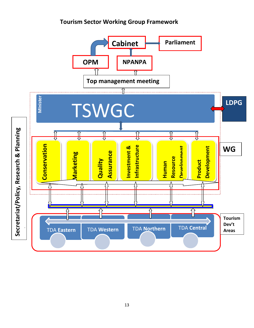# **Tourism Sector Working Group Framework**

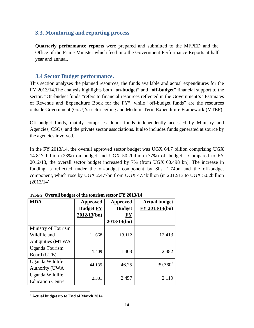# **3.3. Monitoring and reporting process**

**Quarterly performance reports** were prepared and submitted to the MFPED and the Office of the Prime Minister which feed into the Government Performance Reports at half year and annual.

# **3.4 Sector Budget performance.**

This section analyses the planned resources, the funds available and actual expenditures for the FY 2013/14.The analysis highlights both "**on-budget**" and "**off-budget**" financial support to the sector. "On-budget funds "refers to financial resources reflected in the Government's "Estimates of Revenue and Expenditure Book for the FY", while "off-budget funds" are the resources outside Government (GoU)'s sector ceiling and Medium Term Expenditure Framework (MTEF).

Off-budget funds, mainly comprises donor funds independently accessed by Ministry and Agencies, CSOs, and the private sector associations. It also includes funds generated at source by the agencies involved.

In the FY 2013/14, the overall approved sector budget was UGX 64.7 billion comprising UGX 14.817 billion (23%) on budget and UGX 50.2billion (77%) off-budget. Compared to FY 2012/13, the overall sector budget increased by 7% (from UGX 60.498 bn). The increase in funding is reflected under the on-budget component by Shs. 1.74bn and the off-budget component, which rose by UGX 2.477bn from UGX 47.4billion (in 2012/13 to UGX 50.2billion (2013/14).

| <b>MDA</b>              | <b>Approved</b>  | <b>Approved</b> | <b>Actual budget</b>    |
|-------------------------|------------------|-----------------|-------------------------|
|                         | <b>Budget FY</b> | <b>Budget</b>   | F <u>Y 2013/14</u> (bn) |
|                         | 2012/13(bn)      | FY              |                         |
|                         |                  | 2013/14(bn)     |                         |
| Ministry of Tourism     |                  |                 |                         |
| Wildlife and            | 11.668           | 13.112          | 12.413                  |
| Antiquities (MTWA       |                  |                 |                         |
| Uganda Tourism          | 1.409            | 1.403           | 2.482                   |
| Board (UTB)             |                  |                 |                         |
| Uganda Wildlife         | 44.139           | 46.25           | $39.360^2$              |
| <b>Authority (UWA</b>   |                  |                 |                         |
| Uganda Wildlife         | 2.331            | 2.457           | 2.119                   |
| <b>Education Centre</b> |                  |                 |                         |

**Table 2: Overall budget of the tourism sector FY 2013/14** 

 <sup>2</sup> **Actual budget up to End of March 2014**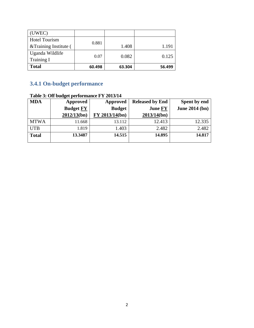| (UWEC)                 |        |        |        |
|------------------------|--------|--------|--------|
| <b>Hotel Tourism</b>   | 0.881  |        |        |
| & Training Institute ( |        | 1.408  | 1.191  |
| Uganda Wildlife        | 0.07   | 0.082  | 0.125  |
| Training I             |        |        |        |
| <b>Total</b>           | 60.498 | 63.304 | 56.499 |

# **3.4.1 On-budget performance**

|              | Table 3: Off budget performance FY 2013/14 |                |                        |                       |  |  |  |
|--------------|--------------------------------------------|----------------|------------------------|-----------------------|--|--|--|
| <b>MDA</b>   | <b>Approved</b>                            | Approved       | <b>Released by End</b> | Spent by end          |  |  |  |
|              | <b>Budget FY</b>                           | <b>Budget</b>  | <b>June FY</b>         | <b>June 2014 (bn)</b> |  |  |  |
|              | 2012/13(bn)                                | FY 2013/14(bn) | 2013/14(bn)            |                       |  |  |  |
| <b>MTWA</b>  | 11.668                                     | 13.112         | 12.413                 | 12.335                |  |  |  |
| <b>UTB</b>   | 1.819                                      | 1.403          | 2.482                  | 2.482                 |  |  |  |
| <b>Total</b> | 13.3487                                    | 14.515         | 14.895                 | 14.817                |  |  |  |

# **Table 3: Off budget performance FY 2013/14**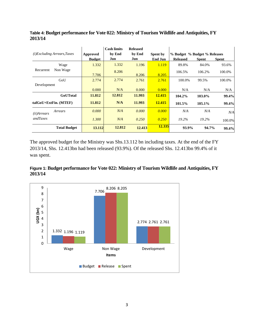|                                    |               | <b>Cash limits</b> | <b>Released</b> |                |                              |        |              |
|------------------------------------|---------------|--------------------|-----------------|----------------|------------------------------|--------|--------------|
| <i>(i)Excluding Arrears, Taxes</i> | Approved      | by End             | by End          | Spent by       | % Budget % Budget % Releases |        |              |
|                                    | <b>Budget</b> | Jun                | Jun             | <b>End Jun</b> | <b>Released</b>              | Spent  | <b>Spent</b> |
| Wage                               | 1.332         | 1.332              | 1.196           | 1.119          | 89.8%                        | 84.0%  | 93.6%        |
| Non Wage<br>Recurrent              | 7.706         | 8.206              | 8.206           | 8.205          | 106.5%                       | 106.2% | 100.0%       |
| GoU                                | 2.774         | 2.774              | 2.761           | 2.761          | 100.0%                       | 99.5%  | 100.0%       |
| Development                        |               |                    |                 |                |                              |        |              |
|                                    | 0.000         | N/A                | 0.000           | 0.000          | N/A                          | N/A    | N/A          |
| GoUTotal                           | 11.812        | 12.812             | 11.993          | 12.415         | 104.2%                       | 103.0% | 99.4%        |
| talGoU+ExtFin. (MTEF)              | 11.812        | N/A                | 11.993          | 12.415         | 101.5%                       | 105.1% | 99.4%        |
| Arrears<br>( <i>ii</i> )Arrears    | 0.000         | N/A                | 0.000           | 0.000          | N/A                          | N/A    | N/A          |
| andTaxes                           | 1.300         | N/A                | 0.250           | 0.250          | 19.2%                        | 19.2%  | 100.0%       |
| <b>Total Budget</b>                | 13.112        | 12.812             | 12.413          | 12.335         | 93.9%                        | 94.7%  | 99.4%        |

**Table 4: Budget performance for Vote 022: Ministry of Tourism Wildlife and Antiquities, FY 2013/14** 

The approved budget for the Ministry was Shs.13.112 bn including taxes. At the end of the FY 2013/14, Shs. 12.413bn had been released (93.9%). Of the released Shs. 12.413bn 99.4% of it was spent.



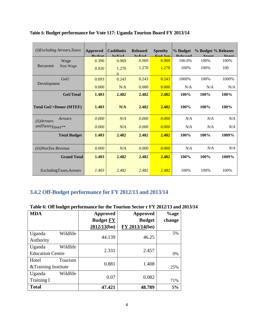| (i)Excluding Arrears, Taxes   | <b>Approved</b>                                                   | <b>Cashlimits</b> | <b>Released</b> | <b>Spentby</b> | % Budget         | % Budget % Releases |         |
|-------------------------------|-------------------------------------------------------------------|-------------------|-----------------|----------------|------------------|---------------------|---------|
|                               | $\mathbf{p}_{\mathbf{u}\mathbf{d}\boldsymbol{\alpha}\mathbf{d}t}$ | hy End            | hyEnd           | <b>Fnd Iun</b> | <b>D</b> ologood | $Grant$             | $Ononf$ |
| Wage                          | 0.390                                                             | 0.969             | 0.969           | 0.969          | 100.0%           | 100%                | 100%    |
| Recurrent<br>Non Wage         | 0.920                                                             | 1.270             | 1.270           | 1.270          | 100%             | 100%                | 100     |
|                               |                                                                   | $\Omega$          |                 |                |                  |                     |         |
| GoU                           | 0.093                                                             | 0.243             | 0.243           | 0.243          | 1000%            | 100%                | 1000%   |
| Development                   | 0.000                                                             | N/A               | 0.000           | 0.000          | N/A              | N/A                 | N/A     |
| <b>GoUTotal</b>               | 1.403                                                             | 2.482             | 2.482           | 2.482          | 100%             | 100%                | 100%    |
| <b>Total GoU+Donor (MTEF)</b> | 1.403                                                             | N/A               | 2.482           | 2.482          | 100%             | 100%                | $100\%$ |
| Arrears<br>$(ii)$ Arrears     | 0.000                                                             | N/A               | 0.000           | 0.000          | N/A              | N/A                 | N/A     |
| $and TaxesTaxes**$            | 0.000                                                             | N/A               | 0.000           | 0.000          | N/A              | N/A                 | N/A     |
| <b>Total Budget</b>           | 1.403                                                             | 2.482             | 2.482           | 2.482          | 100%             | 100%                | 1009%   |
|                               |                                                                   |                   |                 |                |                  |                     |         |
| <i>(iii)NonTax Revenue</i>    | 0.000                                                             | N/A               | 0.000           | 0.000          | N/A              | N/A                 | N/A     |
| <b>Grand Total</b>            | 1.403                                                             | 2.482             | 2.482           | 2.482          | 100%             | 100%                | 1009%   |
| ExcludingTaxes, Arrears       | 1.403                                                             | 2.482             | 2.482           | 2.482          | 100%             | 100%                | 100%    |

**Table 5: Budget performance for Vote 117: Uganda Tourism Board FY 2013/14** 

# **3.4.2 Off-Budget performance for FY 2012/13 and 2013/14**

| Table 6: Off budget performance for the Tourism Sector r FY 2012/13 and 2013/14 |  |
|---------------------------------------------------------------------------------|--|
|---------------------------------------------------------------------------------|--|

| <b>MDA</b>              | <b>Approved</b>  | <b>Approved</b> | $%$ age |
|-------------------------|------------------|-----------------|---------|
|                         | <b>Budget FY</b> | <b>Budget</b>   | change  |
|                         | 2012/13(bn)      | FY 2013/14(bn)  |         |
| Wildlife<br>Uganda      |                  |                 | 5%      |
| Authority               | 44.139           | 46.25           |         |
| Wildlife<br>Uganda      |                  | 2.457           |         |
| <b>Education Centre</b> | 2.331            |                 | 0%      |
| Tourism<br>Hotel        | 0.881            | 1.408           |         |
| &Training Institute     |                  |                 | 25%     |
| Wildlife<br>Uganda      | 0.07             | 0.082           |         |
| <b>Training I</b>       |                  |                 | 71%     |
| <b>Total</b>            | 47.421           | 48.789          | 5%      |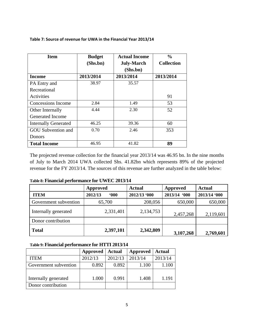| <b>Item</b>                 | <b>Budget</b> | <b>Actual Income</b> | $\frac{0}{0}$     |
|-----------------------------|---------------|----------------------|-------------------|
|                             | (Shs,bn)      | <b>July-March</b>    | <b>Collection</b> |
|                             |               | (Shs.bn)             |                   |
| Income                      | 2013/2014     | 2013/2014            | 2013/2014         |
| PA Entry and                | 38.97         | 35.57                |                   |
| Recreational                |               |                      |                   |
| Activities                  |               |                      | 91                |
| Concessions Income          | 2.84          | 1.49                 | 53                |
| Other Internally            | 4.44          | 2.30                 | 52                |
| Generated Income            |               |                      |                   |
| <b>Internally Generated</b> | 46.25         | 39.36                | 60                |
| <b>GOU</b> Subvention and   | 0.70          | 2.46                 | 353               |
| <b>Donors</b>               |               |                      |                   |
| <b>Total Income</b>         | 46.95         | 41.82                | 89                |

**Table 7: Source of revenue for UWA in the Financial Year 2013/14**

The projected revenue collection for the financial year 2013/14 was 46.95 bn. In the nine months of July to March 2014 UWA collected Shs. 41.82bn which represents 89% of the projected revenue for the FY 2013/14. The sources of this revenue are further analyzed in the table below:

|  | Table 8: Financial performance for UWEC 2013/14 |  |
|--|-------------------------------------------------|--|
|--|-------------------------------------------------|--|

|                       | <b>Approved</b>     | <b>Actual</b> | Approved     | <b>Actual</b> |
|-----------------------|---------------------|---------------|--------------|---------------|
| <b>ITEM</b>           | 2012/13<br>$600 \,$ | 2012/13 '000  | 2013/14 '000 | 2013/14 '000  |
| Government subvention | 65,700              | 208,056       | 650,000      | 650,000       |
| Internally generated  | 2,331,401           | 2,134,753     | 2,457,268    | 2,119,601     |
| Donor contribution    |                     |               |              |               |
| <b>Total</b>          | 2,397,101           | 2,342,809     | 3,107,268    | 2,769,601     |

#### **Table 9: Financial performance for HTTI 2013/14**

|                       | Approved | <b>Actual</b> | Approved | <b>Actual</b> |
|-----------------------|----------|---------------|----------|---------------|
| <b>ITEM</b>           | 2012/13  | 2012/13       | 2013/14  | 2013/14       |
| Government subvention | 0.892    | 0.892         | 1.100    | 1.100         |
|                       |          |               |          |               |
| Internally generated  | 1.000    | 0.991         | 1.408    | 1.191         |
| Donor contribution    |          |               |          |               |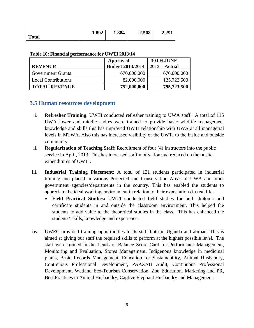|              | 1.892 | 1.884 | 2.508 | 2.291 |
|--------------|-------|-------|-------|-------|
| <b>Total</b> |       |       |       |       |

| <b>REVENUE</b>             | Approved<br><b>Budget 2013/2014</b> | 30TH JUNE<br>$2013 - \text{Actual}$ |
|----------------------------|-------------------------------------|-------------------------------------|
| <b>Government Grants</b>   | 670,000,000                         | 670,000,000                         |
| <b>Local Contributions</b> | 82,000,000                          | 125,723,500                         |
| <b>TOTAL REVENUE</b>       | 752,000,000                         | 795,723,500                         |

**Table 10: Financial performance for UWTI 2013/14** 

# **3.5 Human resources development**

- i. **Refresher Training**: UWTI conducted refresher training to UWA staff. A total of 115 UWA lower and middle cadres were trained to provide basic wildlife management knowledge and skills this has improved UWTI relationship with UWA at all managerial levels in MTWA. Also this has increased visibility of the UWTI to the inside and outside community.
- ii. **Regularization of Teaching Staff**: Recruitment of four (4) Instructors into the public service in April, 2013. This has increased staff motivation and reduced on the onsite expenditures of UWTI.
- iii. **Industrial Training Placement:** A total of 131 students participated in industrial training and placed in various Protected and Conservation Areas of UWA and other government agencies/departments in the country. This has enabled the students to appreciate the ideal working environment in relation to their expectations in real life.
	- **Field Practical Studies:** UWTI conducted field studies for both diploma and certificate students in and outside the classroom environment. This helped the students to add value to the theoretical studies in the class. This has enhanced the students' skills, knowledge and experience.
- **iv.** UWEC provided training opportunities to its staff both in Uganda and abroad. This is aimed at giving our staff the required skills to perform at the highest possible level. The staff were trained in the fiends of Balance Score Card for Performance Management, Monitoring and Evaluation, Stores Management, Indigenous knowledge in medicinal plants, Basic Records Management, Education for Sustainability, Animal Husbandry, Continuous Professional Development, PAAZAB Audit, Continuous Professional Development, Wetland Eco-Tourism Conservation, Zoo Education, Marketing and PR, Best Practices in Animal Husbandry, Captive Elephant Husbandry and Management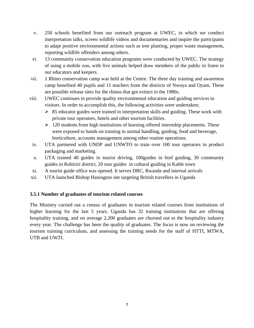- v. 250 schools benefited from our outreach program at UWEC, in which we conduct interpretation talks, screen wildlife videos and documentaries and inspire the participants to adapt positive environmental actions such as tree planting, proper waste management, reporting wildlife offenders among others.
- vi. 13 community conservation education programs were conducted by UWEC. The strategy of using a mobile zoo, with live animals helped draw members of the public to listen to our educators and keepers.
- vii. 1 Rhino conservation camp was held at the Centre. The three day training and awareness camp benefited 40 pupils and 11 teachers from the districts of Nwoya and Oyam. These are possible release sites for the rhinos that got extinct in the 1980s.
- viii. UWEC continues to provide quality environmental education and guiding services to visitors. In order to accomplish this, the following activities were undertaken;
	- $\geq$  85 educator guides were trained in interpretation skills and guiding. These work with private tour operators, hotels and other tourism facilities.
	- $\geq 120$  students from high institutions of learning offered internship placements. These were exposed to hands on training in animal handling, guiding, food and beverage, horticulture, accounts management among other routine operations.
	- ix. UTA partnered with UNDP and UNWTO to train over 100 tour operators in product packaging and marketing.
	- x. UTA trained 40 guides in tourist driving, 100guides in bird guiding, 30 community guides in Rubirizi district, 20 tour guides in cultural guiding in Kable town
- xi. A tourist guide office was opened. It serves DRC, Rwanda and internal arrivals
- xii. UTA launched Bishop Hanington site targeting British travellers in Uganda

#### **3.5.1 Number of graduates of tourism related courses**

The Ministry carried out a census of graduates in tourism related courses from institutions of higher learning for the last 5 years. Uganda has 32 training institutions that are offering hospitality training, and on average 2,200 graduates are churned out to the hospitality industry every year. The challenge has been the quality of graduates. The focus is now on reviewing the tourism training curriculum, and assessing the training needs for the staff of HTTI, MTWA, UTB and UWTI.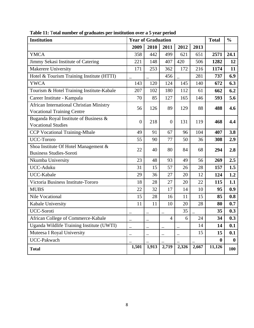| <b>Institution</b>                                                            |                  | <b>Year of Graduation</b> |                          |       |       | <b>Total</b> | $\frac{0}{0}$ |
|-------------------------------------------------------------------------------|------------------|---------------------------|--------------------------|-------|-------|--------------|---------------|
|                                                                               | 2009             | 2010                      | 2011                     | 2012  | 2013  |              |               |
| <b>YMCA</b>                                                                   | 358              | 442                       | 499                      | 621   | 651   | 2571         | 24.1          |
| Jimmy Sekasi Institute of Catering                                            | 221              | 148                       | 407                      | 420   | 506   | 1282         | 12            |
| Makerere University                                                           | 171              | 253                       | 362                      | 172   | 216   | 1174         | 11            |
| Hotel & Tourism Training Institute (HTTI)                                     |                  |                           | 456                      |       | 281   | 737          | 6.9           |
| <b>YWCA</b>                                                                   | 143              | 120                       | 124                      | 145   | 140   | 672          | 6.3           |
| Tourism & Hotel Training Institute-Kabale                                     | 207              | 102                       | 180                      | 112   | 61    | 662          | 6.2           |
| Career Institute - Kampala                                                    | 70               | 85                        | 127                      | 165   | 146   | 593          | 5.6           |
| African International Christian Ministry<br><b>Vocational Training Centre</b> | 56               | 126                       | 89                       | 129   | 88    | 488          | 4.6           |
| Buganda Royal Institute of Business &<br><b>Vocational Studies</b>            | $\boldsymbol{0}$ | 218                       | $\overline{0}$           | 131   | 119   | 468          | 4.4           |
| <b>CCP Vocational Training-Mbale</b>                                          | 49               | 91                        | 67                       | 96    | 104   | 407          | 3.8           |
| <b>UCC-Tororo</b>                                                             | 55               | 90                        | 77                       | 50    | 36    | 308          | 2.9           |
| Shoa Institute Of Hotel Management &<br><b>Business Studies-Soroti</b>        | 22               | 40                        | 80                       | 84    | 68    | 294          | 2.8           |
| Nkumba University                                                             | 23               | 48                        | 93                       | 49    | 56    | 269          | 2.5           |
| UCC-Aduku                                                                     | 31               | 15                        | 57                       | 26    | 28    | 157          | 1.5           |
| UCC-Kabale                                                                    | 29               | 36                        | 27                       | 20    | 12    | 124          | 1.2           |
| Victoria Business Institute-Tororo                                            | 18               | 28                        | 27                       | 20    | 22    | 115          | 1.1           |
| <b>MUBS</b>                                                                   | 22               | 32                        | 17                       | 14    | 10    | 95           | 0.9           |
| <b>Nile Vocational</b>                                                        | 15               | 28                        | 16                       | 11    | 15    | 85           | 0.8           |
| Kabale University                                                             | 11               | 11                        | 10                       | 20    | 28    | 80           | 0.7           |
| <b>UCC-Soroti</b>                                                             |                  |                           |                          | 35    |       | 35           | 0.3           |
| African College of Commerce-Kabale                                            |                  |                           | $\overline{\mathcal{A}}$ | 6     | 24    | 34           | 0.3           |
| Uganda Wildlife Training Institute (UWTI)                                     |                  |                           |                          |       | 14    | 14           | 0.1           |
| Muteesa I Royal University                                                    |                  |                           |                          |       | 15    | 15           | 0.1           |
| <b>UCC-Pakwach</b>                                                            |                  |                           |                          |       |       | $\bf{0}$     | $\bf{0}$      |
| <b>Total</b>                                                                  | 1,501            | 1,913                     | 2,719                    | 2,326 | 2,667 | 11,126       | <b>100</b>    |

**Table 11:** T**otal number of graduates per institution over a 5 year period**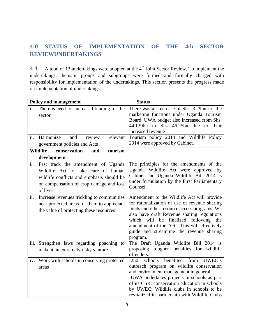# **4.0 STATUS OF IMPLEMENTATION OF THE 4th SECTOR REVIEWUNDERTAKINGS**

4.1 A total of 13 undertakings were adopted at the 4<sup>th</sup> Joint Sector Review. To implement the undertakings, thematic groups and subgroups were formed and formally charged with responsibility for implementation of the undertakings. This section presents the progress made on implementation of undertakings:

|                | <b>Policy and management</b>                                                                                                                                                 | <b>Status</b>                                                                                                                                                                                                                                                                                                                                 |
|----------------|------------------------------------------------------------------------------------------------------------------------------------------------------------------------------|-----------------------------------------------------------------------------------------------------------------------------------------------------------------------------------------------------------------------------------------------------------------------------------------------------------------------------------------------|
| i.             | There is need for increased funding for the<br>sector                                                                                                                        | There was an increase of Shs. 3.29bn for the<br>marketing functions under Uganda Tourism<br>Board. UWA budget also increased from Shs.<br>44.139bn to Shs 46.25bn due to<br>their<br>increased revenue                                                                                                                                        |
| ii.            | Harmonize<br>and<br>review<br>relevant                                                                                                                                       | Tourism policy 2014 and Wildlife Policy                                                                                                                                                                                                                                                                                                       |
|                | government policies and Acts                                                                                                                                                 | 2014 were approved by Cabinet.                                                                                                                                                                                                                                                                                                                |
|                | <b>Wildlife</b><br>conservation<br>tourism<br>and                                                                                                                            |                                                                                                                                                                                                                                                                                                                                               |
|                | development                                                                                                                                                                  |                                                                                                                                                                                                                                                                                                                                               |
| $\mathbf{i}$ . | Fast track the amendment of Uganda<br>Wildlife Act to take care of human<br>wildlife conflicts and emphasis should be<br>on compensation of crop damage and loss<br>of lives | The principles for the amendments of the<br>Uganda Wildlife Act were approved by<br>Cabinet and Uganda Wildlife Bill 2014 is<br>under formulation by the First Parliamentary<br>Counsel.                                                                                                                                                      |
| ii.            | Increase revenues trickling to communities<br>near protected areas for them to appreciate<br>the value of protecting these resources                                         | Amendment to the Wildlife Act will provide<br>for rationalization of use of revenue sharing<br>funds and other resource access programs. We<br>also have draft Revenue sharing regulations<br>finalized following the<br>which will be<br>amendment of the Act. This will effectively<br>guide and streamline the revenue sharing<br>program. |
|                | iii. Strengthen laws regarding poaching to<br>make it an extremely risky venture                                                                                             | The Draft Uganda Wildlife Bill 2014 is<br>proposing tougher penalties for<br>wildlife<br>offenders.                                                                                                                                                                                                                                           |
|                | iv. Work with schools in conserving protected<br>areas                                                                                                                       | benefited<br>$-250$<br>schools<br>from<br>UWEC's<br>outreach program on wildlife conservation<br>and environment management in general.<br>-UWA undertakes projects in schools as part<br>of its CSR; conservation education in schools<br>by UWEC; Wildlife clubs in schools to be<br>revitalized in partnership with Wildlife Clubs         |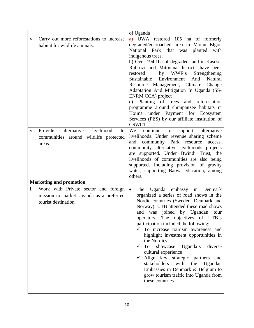|                                                                                                              | of Uganda                                                                                                                                                                                                                                                                                                                                                                                                                                                                                                                                                                                                                                                                              |
|--------------------------------------------------------------------------------------------------------------|----------------------------------------------------------------------------------------------------------------------------------------------------------------------------------------------------------------------------------------------------------------------------------------------------------------------------------------------------------------------------------------------------------------------------------------------------------------------------------------------------------------------------------------------------------------------------------------------------------------------------------------------------------------------------------------|
| Carry out more reforestations to increase<br>V.<br>habitat for wildlife animals.                             | a) UWA restored 105 ha of formerly<br>degraded/encroached area in Mount Elgon<br>National<br>Park<br>that<br>planted<br>with<br>was<br>indigenous trees.<br>b) Over 194.1ha of degraded land in Kasese,<br>Rubirizi and Mitooma districts have been<br>by WWF's<br>restored<br>Strengthening<br>Sustainable<br>Environment<br>And<br>Natural<br>Resource Management, Climate<br>Change<br>Adaptation And Mitigation In Uganda (SS-<br>ENRM CCA) project<br>c) Planting of trees and reforestation<br>programme around chimpanzee habitats in<br>under Payment for Ecosystem<br>Hoima<br>Services (PES) by our affiliate institution of<br><b>CSWCT</b>                                 |
| vi. Provide<br>alternative<br>livelihood<br>to<br>communities around wildlife protected<br>areas             | We<br>continue<br>alternative<br>to<br>support<br>livelihoods. Under revenue sharing scheme<br>community Park resource<br>and<br>access,<br>community alternative livelihoods projects<br>are supported. Under Bwindi Trust, the<br>livelihoods of communities are also being<br>supported. Including provision of gravity<br>water, supporting Batwa education, among<br>others.                                                                                                                                                                                                                                                                                                      |
| <b>Marketing and promotion</b>                                                                               |                                                                                                                                                                                                                                                                                                                                                                                                                                                                                                                                                                                                                                                                                        |
| i.<br>Work with Private sector and foreign<br>mission to market Uganda as a preferred<br>tourist destination | $\bullet$<br>Uganda embassy in Denmark<br>The<br>organized a series of road shows in the<br>Nordic countries (Sweden, Denmark and<br>Norway). UTB attended these road shows<br>and was joined by Ugandan<br>tour<br>operators. The objectives of UTB's<br>participation included the following;<br>To increase tourism awareness and<br>highlight investment opportunities in<br>the Nordics.<br><b>To</b><br>$\checkmark$<br>showcase<br>Uganda's<br>diverse<br>cultural experience<br>Align key strategic partners<br>$\checkmark$<br>and<br>stakeholders<br>with<br>the<br>Ugandan<br>Embassies in Denmark & Belgium to<br>grow tourism traffic into Uganda from<br>these countries |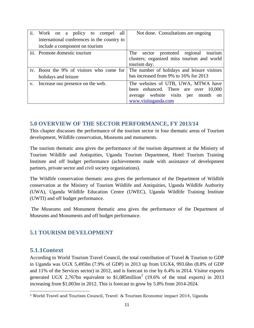| ii. | Work on a policy to compel all              | Not done. Consultations are ongoing                  |
|-----|---------------------------------------------|------------------------------------------------------|
|     | international conferences in the country to |                                                      |
|     | include a component on tourism              |                                                      |
|     | iii. Promote domestic tourism               | sector promoted regional tourism<br>The              |
|     |                                             | clusters; organized miss tourism and world           |
|     |                                             | tourism day.                                         |
|     | iv. Boost the 9% of visitors who come for   | The number of holidays and leisure visitors          |
|     | holidays and leisure                        | has increased from 9% to 16% for 2013                |
|     | v. Increase our presence on the web.        | The websites of UTB, UWA, MTWA have                  |
|     |                                             | been enhanced. There are over 10,000                 |
|     |                                             | average website visits<br>per month<br><sub>on</sub> |
|     |                                             | www.visituganda.com                                  |

# **5.0 OVERVIEW OF THE SECTOR PERFORMANCE, FY 2013/14**

This chapter discusses the performance of the tourism sector in four thematic areas of Tourism development, Wildlife conservation, Museums and monuments.

The tourism thematic area gives the performance of the tourism department at the Ministry of Tourism Wildlife and Antiquities, Uganda Tourism Department, Hotel Tourism Training Institute and off budget performance (achievements made with assistance of development partners, private sector and civil society organizations).

The Wildlife conservation thematic area gives the performance of the Department of Wildlife conservation at the Ministry of Tourism Wildlife and Antiquities, Uganda Wildlife Authority (UWA), Uganda Wildlife Education Centre (UWEC), Uganda Wildlife Training Institute (UWTI) and off budget performance.

 The Museums and Monument thematic area gives the performance of the Department of Museums and Monuments and off budget performance.

# **5.1 TOURISM DEVELOPMENT**

#### **5.1.1Context**

According to World Tourism Travel Council, the total contribution of Travel & Tourism to GDP in Uganda was UGX 5,495bn (7.9% of GDP) in 2013 up from UGX4, 993.6bn (8.8% of GDP and 11% of the Services sector) in 2012, and is forecast to rise by 6.4% in 2014. Visitor exports generated UGX 2,767bn equivalent to  $$1,085$ million<sup>3</sup> (19.6% of the total exports) in 2013 increasing from \$1,003m in 2012. This is forecast to grow by 5.8% from 2014-2024.

 3 World Travel and Tourism Council, Travel & Tourism Economic impact 2014, Uganda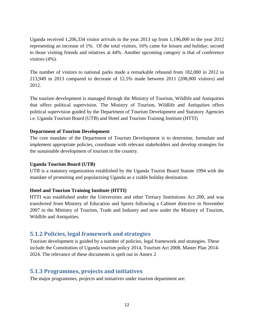Uganda received 1,206,334 visitor arrivals in the year 2013 up from 1,196,000 in the year 2012 representing an increase of 1%. Of the total visitors, 16% came for leisure and holiday; second to those visiting friends and relatives at 44%. Another upcoming category is that of conference visitors (4%).

The number of visitors to national parks made a remarkable rebound from 182,000 in 2012 to 213,949 in 2013 compared to decrease of 12.5% made between 2011 (208,000 visitors) and 2012.

The tourism development is managed through the Ministry of Tourism, Wildlife and Antiquities that offers political supervision. The Ministry of Tourism, Wildlife and Antiquities offers political supervision guided by the Department of Tourism Development and Statutory Agencies i.e. Uganda Tourism Board (UTB) and Hotel and Tourism Training Institute (HTTI)

#### **Department of Tourism Development**

The core mandate of the Department of Tourism Development is to determine, formulate and implement appropriate policies, coordinate with relevant stakeholders and develop strategies for the sustainable development of tourism in the country.

#### **Uganda Tourism Board (UTB)**

UTB is a statutory organization established by the Uganda Tourist Board Statute 1994 with the mandate of promoting and popularizing Uganda as a viable holiday destination.

#### **Hotel and Tourism Training Institute (HTTI)**

HTTI was established under the Universities and other Tertiary Institutions Act 200, and was transferred from Ministry of Education and Sports following a Cabinet directive in November 2007 to the Ministry of Tourism, Trade and Industry and now under the Ministry of Tourism, Wildlife and Antiquities.

#### **5.1.2 Policies, legal framework and strategies**

Tourism development is guided by a number of policies, legal framework and strategies. These include the Constitution of Uganda tourism policy 2014, Tourism Act 2008, Master Plan 2014- 2024. The relevance of these documents is spelt out in Annex 2

#### **5.1.3 Programmes, projects and initiatives**

The major programmes, projects and initiatives under tourism department are: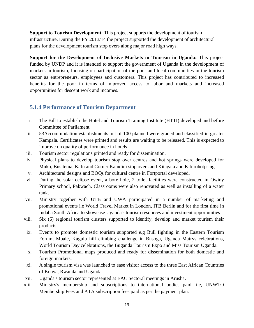**Support to Tourism Development**: This project supports the development of tourism infrastructure. During the FY 2013/14 the project supported the development of architectural plans for the development tourism stop overs along major road high ways.

**Support for the Development of Inclusive Markets in Tourism in Uganda:** This project funded by UNDP and it is intended to support the government of Uganda in the development of markets in tourism, focusing on participation of the poor and local communities in the tourism sector as entrepreneurs, employees and customers. This project has contributed to increased benefits for the poor in terms of improved access to labor and markets and increased opportunities for descent work and incomes.

# **5.1.4 Performance of Tourism Department**

- i. The Bill to establish the Hotel and Tourism Training Institute (HTTI) developed and before Committee of Parliament
- ii. 53Accommodation establishments out of 100 planned were graded and classified in greater Kampala. Certificates were printed and results are waiting to be released. This is expected to improve on quality of performance in hotels
- iii. Tourism sector regulations printed and ready for dissemination.
- iv. Physical plans to develop tourism stop over centres and hot springs were developed for Muko, Busitema, Kafu and Corner Kamdini stop overs and Kitagata and Kibirohotprings
- v. Architectural designs and BOQs for cultural centre in Fortportal developed.
- vi. During the solar eclipse event, a bore hole, 2 toilet facilities were constructed in Owiny Primary school, Pakwach. Classrooms were also renovated as well as installing of a water tank.
- vii. Ministry together with UTB and UWA participated in a number of marketing and promotional events i.e World Travel Market in London, ITB Berlin and for the first time in Indaba South Africa to showcase Uganda's tourism resources and investment opportunities
- viii. Six (6) regional tourism clusters supported to identify, develop and market tourism their products.
- ix. Events to promote domestic tourism supported e.g Bull fighting in the Eastern Tourism Forum, Mbale, Kagulu hill climbing challenge in Busoga, Uganda Matrys celebrations, World Tourism Day celebrations, the Buganda Tourism Expo and Miss Tourism Uganda.
- x. Tourism Promotional maps produced and ready for dissemination for both domestic and foreign markets.
- xi. A single tourism visa was launched to ease visitor access to the three East African Countries of Kenya, Rwanda and Uganda.
- xii. Uganda's tourism sector represented at EAC Sectoral meetings in Arusha.
- xiii. Ministry's membership and subscriptions to international bodies paid. i.e, UNWTO Membership Fees and ATA subscription fees paid as per the payment plan.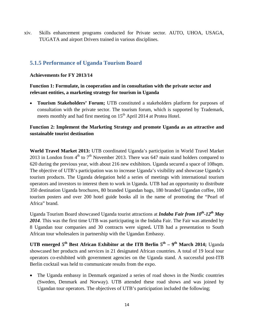xiv. Skills enhancement programs conducted for Private sector. AUTO, UHOA, USAGA, TUGATA and airport Drivers trained in various disciplines.

# **5.1.5 Performance of Uganda Tourism Board**

**Achievements for FY 2013/14** 

#### **Function 1: Formulate, in cooperation and in consultation with the private sector and relevant entities, a marketing strategy for tourism in Uganda**

 **Tourism Stakeholders' Forum;** UTB constituted a stakeholders platform for purposes of consultation with the private sector. The tourism forum, which is supported by Trademark, meets monthly and had first meeting on  $15<sup>th</sup>$  April 2014 at Protea Hotel.

#### **Function 2: Implement the Marketing Strategy and promote Uganda as an attractive and sustainable tourist destination**

**World Travel Market 2013:** UTB coordinated Uganda's participation in World Travel Market 2013 in London from  $4<sup>th</sup>$  to  $7<sup>th</sup>$  November 2013. There was 647 main stand holders compared to 620 during the previous year, with about 216 new exhibitors. Uganda secured a space of 108sqm. The objective of UTB's participation was to increase Uganda's visibility and showcase Uganda's tourism products. The Uganda delegation held a series of meetings with international tourism operators and investors to interest them to work in Uganda. UTB had an opportunity to distribute 350 destination Uganda brochures, 80 branded Ugandan bags, 180 branded Ugandan coffee, 100 tourism posters and over 200 hotel guide books all in the name of promoting the "Pearl of Africa" brand.

Uganda Tourism Board showcased Uganda tourist attractions at *Indaba Fair from 10th-12th May 2014*. This was the first time UTB was participating in the Indaba Fair. The Fair was attended by 8 Ugandan tour companies and 30 contracts were signed**.** UTB had a presentation to South African tour wholesalers in partnership with the Ugandan Embassy.

**UTB emerged 5<sup>th</sup> Best African Exhibitor at the ITB Berlin**  $5<sup>th</sup> - 9<sup>th</sup>$  **March 2014; Uganda** showcased her products and services in 21 designated African countries. A total of 19 local tour operators co-exhibited with government agencies on the Uganda stand. A successful post-ITB Berlin cocktail was held to communicate results from the expo.

 The Uganda embassy in Denmark organized a series of road shows in the Nordic countries (Sweden, Denmark and Norway). UTB attended these road shows and was joined by Ugandan tour operators. The objectives of UTB's participation included the following;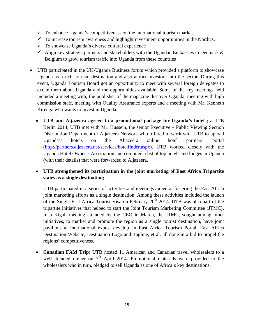- $\checkmark$  To enhance Uganda's competitiveness on the international tourism market
- $\checkmark$  To increase tourism awareness and highlight investment opportunities in the Nordics.
- $\checkmark$  To showcase Uganda's diverse cultural experience
- $\checkmark$  Align key strategic partners and stakeholders with the Ugandan Embassies in Denmark & Belgium to grow tourism traffic into Uganda from these countries
- UTB participated in the UK-Uganda Business forum which provided a platform to showcase Uganda as a rich tourism destination and also attract investors into the sector. During this event, Uganda Tourism Board got an opportunity to meet with several foreign delegates to excite them about Uganda and the opportunities available. Some of the key meetings held included a meeting with; the publisher of the magazine discover Uganda, meeting with high commission staff, meeting with Quality Assurance experts and a meeting with Mr. Kenneth Kirenga who wants to invest in Uganda.
	- **UTB and Aljazeera agreed to a promotional package for Uganda's hotels;** at ITB Berlin 2014, UTB met with Mr. Hussein, the senior Executive – Public Viewing Section Distribution Department of Aljazeera Network who offered to work with UTB to upload Uganda's hotels on the Aljazeera online hotel partners' portal (http://partners.aljazeera.net/services/hotelfinder.aspx). UTB worked closely with the Uganda Hotel Owner's Association and compiled a list of top hotels and lodges in Uganda (with their details) that were forwarded to Aljazeera.
	- **UTB strengthened its participation in the joint marketing of East Africa Tripartite states as a single destination;**

UTB participated in a series of activities and meetings aimed at fostering the East Africa joint marketing efforts as a single destination. Among these activities included the launch of the Single East Africa Tourist Visa on February  $20<sup>th</sup>$  2014. UTB was also part of the tripartite initiatives that helped to start the Joint Tourism Marketing Committee (JTMC). In a Kigali meeting attended by the CEO in March, the JTMC, sought among other initiatives, to market and promote the region as a single tourist destination**,** have joint pavilions at international expos, develop an East Africa Tourism Portal, East Africa Destination Website, Destination Logo and Tagline, et al, all done in a bid to propel the regions' competitiveness.

• **Canadian FAM Trip;** UTB hosted 11 American and Canadian travel wholesalers to a well-attended dinner on  $7<sup>th</sup>$  April 2014. Promotional materials were provided to the wholesalers who in turn, pledged to sell Uganda as one of Africa's key destinations.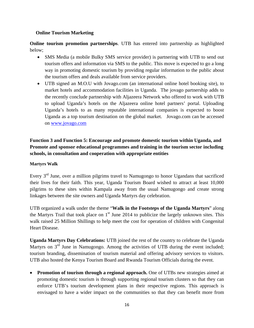#### **Online Tourism Marketing**

**Online tourism promotion partnerships**. UTB has entered into partnership as highlighted below;

- SMS Media (a mobile Bulky SMS service provider) is partnering with UTB to send out tourism offers and information via SMS to the public. This move is expected to go a long way in promoting domestic tourism by providing regular information to the public about the tourism offers and deals available from service providers.
- UTB signed an M.O.U with Jovago.com (an international online hotel booking site), to market hotels and accommodation facilities in Uganda. The jovago partnership adds to the recently conclude partnership with Aljazeera Network who offered to work with UTB to upload Uganda's hotels on the Aljazeera online hotel partners' portal. Uploading Uganda's hotels to as many reputable international companies is expected to boost Uganda as a top tourism destination on the global market. Jovago.com can be accessed on www.jovago.com

# **Function 3 and Function 5: Encourage and promote domestic tourism within Uganda, and Promote and sponsor educational programmes and training in the tourism sector including schools, in consultation and cooperation with appropriate entities**

#### **Martyrs Walk**

Every  $3<sup>rd</sup>$  June, over a million pilgrims travel to Namugongo to honor Ugandans that sacrificed their lives for their faith. This year, Uganda Tourism Board wished to attract at least 10,000 pilgrims to these sites within Kampala away from the usual Namugongo and create strong linkages between the site owners and Uganda Martyrs day celebration.

UTB organized a walk under the theme "**Walk in the Footsteps of the Uganda Martyrs**" along the Martyrs Trail that took place on  $1<sup>st</sup>$  June 2014 to publicize the largely unknown sites. This walk raised 25 Million Shillings to help meet the cost for operation of children with Congenital Heart Disease.

**Uganda Martyrs Day Celebrations:** UTB joined the rest of the country to celebrate the Uganda Martyrs on 3<sup>rd</sup> June in Namugongo. Among the activities of UTB during the event included; tourism branding, dissemination of tourism material and offering advisory services to visitors. UTB also hosted the Kenya Tourism Board and Rwanda Tourism Officials during the event.

 **Promotion of tourism through a regional approach.** One of UTBs new strategies aimed at promoting domestic tourism is through supporting regional tourism clusters so that they can enforce UTB's tourism development plans in their respective regions. This approach is envisaged to have a wider impact on the communities so that they can benefit more from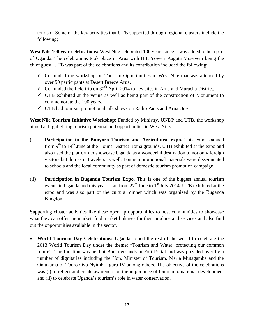tourism. Some of the key activities that UTB supported through regional clusters include the following;

**West Nile 100 year celebrations:** West Nile celebrated 100 years since it was added to be a part of Uganda. The celebrations took place in Arua with H.E Yoweri Kaguta Museveni being the chief guest. UTB was part of the celebrations and its contribution included the following;

- $\checkmark$  Co-funded the workshop on Tourism Opportunities in West Nile that was attended by over 50 participants at Desert Breeze Arua.
- $\checkmark$  Co-funded the field trip on 30<sup>th</sup> April 2014 to key sites in Arua and Maracha District.
- $\checkmark$  UTB exhibited at the venue as well as being part of the construction of Monument to commemorate the 100 years.
- $\checkmark$  UTB had tourism promotional talk shows on Radio Pacis and Arua One

**West Nile Tourism Initiative Workshop:** Funded by Ministry, UNDP and UTB, the workshop aimed at highlighting tourism potential and opportunities in West Nile.

- (i) **Participation in the Bunyoro Tourism and Agricultural expo.** This expo spanned from  $9<sup>th</sup>$  to  $14<sup>th</sup>$  June at the Hoima District Boma grounds. UTB exhibited at the expo and also used the platform to showcase Uganda as a wonderful destination to not only foreign visitors but domestic travelers as well. Tourism promotional materials were disseminated to schools and the local community as part of domestic tourism promotion campaign.
- (ii) **Participation in Buganda Tourism Expo.** This is one of the biggest annual tourism events in Uganda and this year it ran from  $27<sup>th</sup>$  June to  $1<sup>st</sup>$  July 2014. UTB exhibited at the expo and was also part of the cultural dinner which was organized by the Buganda Kingdom.

Supporting cluster activities like these open up opportunities to host communities to showcase what they can offer the market, find market linkages for their produce and services and also find out the opportunities available in the sector.

 **World Tourism Day Celebrations:** Uganda joined the rest of the world to celebrate the 2013 World Tourism Day under the theme; "Tourism and Water; protecting our common future". The function was held at Boma grounds in Fort Portal and was presided over by a number of dignitaries including the Hon. Minister of Tourism, Maria Mutagamba and the Omukama of Tooro Oyo Nyimba Iguru IV among others. The objective of the celebrations was (i) to reflect and create awareness on the importance of tourism to national development and (ii) to celebrate Uganda's tourism's role in water conservation.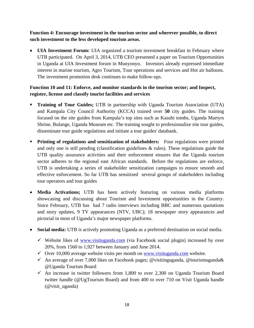**Function 4: Encourage investment in the tourism sector and wherever possible, to direct such investment to the less developed tourism areas.** 

 **UIA Investment Forum:** UIA organized a tourism investment breakfast in February where UTB participated. On April 3, 2014, UTB CEO presented a paper on Tourism Opportunities in Uganda at UIA Investment forum in Munyonyo. Investors already expressed immediate interest in marine tourism, Agro Tourism, Tour operations and services and Hot air balloons. The investment promotion desk continues to make follow-ups.

## **Function 10 and 11: Enforce, and monitor standards in the tourism sector; and Inspect, register, license and classify tourist facilities and services**

- **Training of Tour Guides;** UTB in partnership with Uganda Tourism Association (UTA) and Kampala City Council Authority (KCCA) trained over **50** city guides. The training focused on the site guides from Kampala's top sites such as Kasubi tombs, Uganda Martyrs Shrine, Bulange, Uganda Museum etc. The training sought to professionalize site tour guides, disseminate tour guide regulations and initiate a tour guides' databank.
- **Printing of regulations and sensitization of stakeholders:** Four regulations were printed and only one is still pending (classification guidelines  $\&$  rules). These regulations guide the UTB quality assurance activities and their enforcement ensures that the Uganda tourism sector adheres to the regional east African standards. Before the regulations are enforce, UTB is undertaking a series of stakeholder sensitization campaigns to ensure smooth and effective enforcement. So far UTB has sensitized several groups of stakeholders including tour operators and tour guides
- **Media Activations;** UTB has been actively featuring on various media platforms showcasing and discussing about Tourism and Investment opportunities in the Country. Since February, UTB has had 7 radio interviews including BBC and numerous quotations and story updates, 9 TV appearances (NTV, UBC); 18 newspaper story appearances and pictorial in most of Uganda's major newspaper platforms.
- **Social media:** UTB is actively promoting Uganda as a preferred destination on social media.
	- $\checkmark$  Website likes of www.visituganda.com (via Facebook social plugin) increased by over 20%, from 1560 to 1,927 between January and June 2014.
	- $\checkmark$  Over 10,000 average website visits per month on www.visituganda.com website.
	- An average of over 7,000 likes on Facebook pages; @visitinguganda, @tourismuganda& @Uganda Tourism Board
	- $\checkmark$  An increase in twitter followers from 1,800 to over 2,300 on Uganda Tourism Board twitter handle (@UgTourism Board) and from 400 to over 710 on Visit Uganda handle (@visit\_uganda)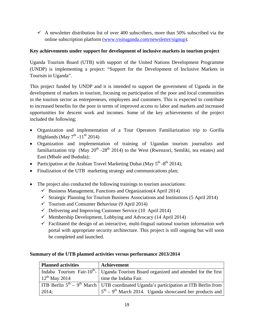$\checkmark$  A newsletter distribution list of over 400 subscribers, more than 50% subscribed via the online subscription platform (www.visituganda.com/newsletter/signup).

### **Key achievements under support for development of inclusive markets in tourism project**

Uganda Tourism Board (UTB) with support of the United Nations Development Programme (UNDP) is implementing a project: "Support for the Development of Inclusive Markets in Tourism in Uganda".

This project funded by UNDP and it is intended to support the government of Uganda in the development of markets in tourism, focusing on participation of the poor and local communities in the tourism sector as entrepreneurs, employees and customers. This is expected to contribute to increased benefits for the poor in terms of improved access to labor and markets and increased opportunities for descent work and incomes. Some of the key achievements of the project included the following;

- Organization and implementation of a Tour Operators Familiarization trip to Gorilla Highlands (May  $7<sup>th</sup> -11<sup>th</sup> 2014$ )
- Organization and implementation of training of Ugandan tourism journalists and familiarization trip (May  $20^{th}$  -28<sup>th</sup> 2014) to the West (Rwenzori, Semliki, tea estates) and East (Mbale and Bududa);
- Participation at the Arabian Travel Marketing Dubai (May  $5<sup>th</sup> 8<sup>th</sup>$  2014);
- Finalization of the UTB marketing strategy and communications plan;
- The project also conducted the following trainings to tourism associations:
	- $\checkmark$  Business Management, Functions and Organization (4 April 2014)
	- $\checkmark$  Strategic Planning for Tourism Business Associations and Institutions (5 April 2014)
	- $\checkmark$  Tourism and Consumer Behaviour (9 April 2014)
	- $\checkmark$  Delivering and Improving Customer Service (10 April 2014)
	- $\checkmark$  Membership Development, Lobbying and Advocacy (14 April 2014)
	- $\checkmark$  Facilitated the design of an interactive, multi-lingual national tourism information web portal with appropriate security architecture. This project is still ongoing but will soon be completed and launched.

### **Summary of the UTB planned activities versus performance 2013/2014**

| <b>Planned activities</b> | Achievement                                                                                        |
|---------------------------|----------------------------------------------------------------------------------------------------|
|                           | Indaba Tourism Fair-10 <sup>th</sup> -   Uganda Tourism Board organized and attended for the first |
| $12^{th}$ May 2014        | time the Indaba Fair.                                                                              |
|                           | ITB Berlin $5th - 9th$ March   UTB coordinated Uganda's participation at ITB Berlin from           |
| 2014;                     | $5^{\text{th}} - 9^{\text{th}}$ March 2014. Uganda showcased her products and                      |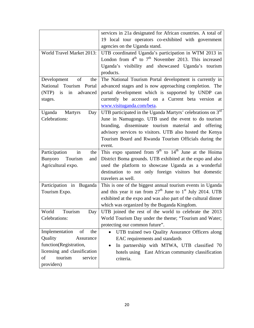|                                  | services in 21a designated for African countries. A total of   |  |  |
|----------------------------------|----------------------------------------------------------------|--|--|
|                                  | 19 local tour operators co-exhibited with government           |  |  |
|                                  | agencies on the Uganda stand.                                  |  |  |
| World Travel Market 2013:        | UTB coordinated Uganda's participation in WTM 2013 in          |  |  |
|                                  | London from $4th$ to $7th$ November 2013. This increased       |  |  |
|                                  | Uganda's visibility and showcased Uganda's tourism             |  |  |
|                                  | products.                                                      |  |  |
| Development<br>of<br>the         | The National Tourism Portal development is currently in        |  |  |
| National Tourism Portal          | advanced stages and is now approaching completion. The         |  |  |
| (NTP) is in advanced             | portal development which is supported by UNDP can              |  |  |
|                                  | currently be accessed on a Current beta version at             |  |  |
| stages.                          | www.visituganda.com/beta.                                      |  |  |
|                                  |                                                                |  |  |
| Uganda Martyrs<br>Day            | UTB participated in the Uganda Martyrs' celebrations on $3rd$  |  |  |
| Celebrations:                    | June in Namugongo. UTB used the event to do tourism            |  |  |
|                                  | branding, disseminate tourism material and offering            |  |  |
|                                  | advisory services to visitors. UTB also hosted the Kenya       |  |  |
|                                  | Tourism Board and Rwanda Tourism Officials during the          |  |  |
|                                  | event.                                                         |  |  |
| Participation<br>in<br>the       | This expo spanned from $9th$ to $14th$ June at the Hoima       |  |  |
| <b>Bunyoro</b><br>Tourism<br>and | District Boma grounds. UTB exhibited at the expo and also      |  |  |
| Agricultural expo.               | used the platform to showcase Uganda as a wonderful            |  |  |
|                                  | destination to not only foreign visitors but domestic          |  |  |
|                                  | travelers as well.                                             |  |  |
| Participation in Buganda         | This is one of the biggest annual tourism events in Uganda     |  |  |
| Tourism Expo.                    | and this year it ran from $27th$ June to $1st$ July 2014. UTB  |  |  |
|                                  | exhibited at the expo and was also part of the cultural dinner |  |  |
|                                  | which was organized by the Buganda Kingdom.                    |  |  |
| Tourism<br>World<br>Day          | UTB joined the rest of the world to celebrate the 2013         |  |  |
| Celebrations:                    | World Tourism Day under the theme; "Tourism and Water;         |  |  |
|                                  | protecting our common future".                                 |  |  |
| Implementation<br>of<br>the      | UTB trained two Quality Assurance Officers along<br>$\bullet$  |  |  |
| Quality<br>Assurance             | EAC requirements and standards                                 |  |  |
| function(Registration,           | In partnership with MTWA, UTB classified 70<br>$\bullet$       |  |  |
| licensing and classification     | hotels using East African community classification             |  |  |
| tourism<br>of<br>service         | criteria.                                                      |  |  |
| providers)                       |                                                                |  |  |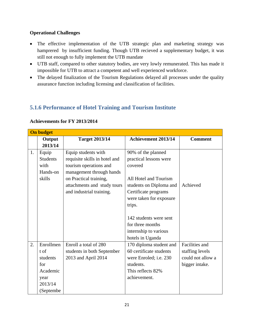### **Operational Challenges**

- The effective implementation of the UTB strategic plan and marketing strategy was hamprered by insufficient funding. Though UTB recieved a supplementary budget, it was still not enough to fully implement the UTB mandate
- UTB staff, compared to other statutory bodies, are very lowly remunerated. This has made it impossible for UTB to attract a competent and well experienced workforce.
- The delayed finalization of the Tourism Regulations delayed all processes under the quality assurance function including licensing and classification of facilities.

# **5.1.6 Performance of Hotel Training and Tourism Institute**

|    | <b>On budget</b> |                               |                               |                   |
|----|------------------|-------------------------------|-------------------------------|-------------------|
|    | Output           | <b>Target 2013/14</b>         | <b>Achievement 2013/14</b>    | <b>Comment</b>    |
|    | 2013/14          |                               |                               |                   |
| 1. | Equip            | Equip students with           | 90% of the planned            |                   |
|    | <b>Students</b>  | requisite skills in hotel and | practical lessons were        |                   |
|    | with             | tourism operations and        | covered                       |                   |
|    | Hands-on         | management through hands      |                               |                   |
|    | skills           | on Practical training,        | All Hotel and Tourism         |                   |
|    |                  | attachments and study tours   | students on Diploma and       | Achieved          |
|    |                  | and industrial training.      | Certificate programs          |                   |
|    |                  |                               | were taken for exposure       |                   |
|    |                  |                               | trips.                        |                   |
|    |                  |                               |                               |                   |
|    |                  |                               | 142 students were sent        |                   |
|    |                  |                               | for three months              |                   |
|    |                  |                               | internship to various         |                   |
|    |                  |                               | hotels in Uganda              |                   |
| 2. | Enrollmen        | Enroll a total of 280         | 170 diploma student and       | Facilities and    |
|    | t of             | students in both September    | 60 certificate students       | staffing levels   |
|    | students         | 2013 and April 2014           | were Enroled; <i>i.e.</i> 230 | could not allow a |
|    | for              |                               | students.                     | bigger intake.    |
|    | Academic         |                               | This reflects 82%             |                   |
|    | year             |                               | achievement.                  |                   |
|    | 2013/14          |                               |                               |                   |
|    | (Septembe        |                               |                               |                   |

#### **Achievements for FY 2013/2014**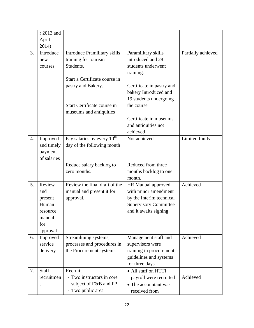|    | r 2013 and   |                                     |                              |                    |
|----|--------------|-------------------------------------|------------------------------|--------------------|
|    | April        |                                     |                              |                    |
|    | 2014)        |                                     |                              |                    |
| 3. | Introduce    | <b>Introduce Pramilitary skills</b> | Paramilitary skills          | Partially achieved |
|    | new          | training for tourism                | introduced and 28            |                    |
|    | courses      | Students.                           | students underwent           |                    |
|    |              |                                     | training.                    |                    |
|    |              | Start a Certificate course in       |                              |                    |
|    |              | pastry and Bakery.                  | Certificate in pastry and    |                    |
|    |              |                                     | bakery Introduced and        |                    |
|    |              |                                     | 19 students undergoing       |                    |
|    |              | Start Certificate course in         | the course                   |                    |
|    |              | museums and antiquities             |                              |                    |
|    |              |                                     | Certificate in museums       |                    |
|    |              |                                     | and antiquities not          |                    |
|    |              |                                     | achieved                     |                    |
| 4. | Improved     | Pay salaries by every $10^{th}$     | Not achieved                 | Limited funds      |
|    | and timely   | day of the following month          |                              |                    |
|    | payment      |                                     |                              |                    |
|    | of salaries  |                                     |                              |                    |
|    |              | Reduce salary backlog to            | Reduced from three           |                    |
|    |              | zero months.                        | months backlog to one        |                    |
|    |              |                                     | month.                       |                    |
| 5. | Review       | Review the final draft of the       | HR Manual approved           | Achieved           |
|    | and          | manual and present it for           | with minor amendment         |                    |
|    | present      | approval.                           | by the Interim technical     |                    |
|    |              |                                     |                              |                    |
|    | Human        |                                     | <b>Supervisory Committee</b> |                    |
|    | resource     |                                     | and it awaits signing.       |                    |
|    | manual       |                                     |                              |                    |
|    | for          |                                     |                              |                    |
|    | approval     |                                     |                              |                    |
| 6. | Improved     | Streamlining systems,               | Management staff and         | Achieved           |
|    | service      | processes and procedures in         | supervisors were             |                    |
|    | delivery     | the Procurement systems.            | training in procurement      |                    |
|    |              |                                     | guidelines and systems       |                    |
|    |              |                                     | for three days               |                    |
| 7. | <b>Staff</b> | Recruit;                            | • All staff on HTTI          |                    |
|    | recruitmen   | - Two instructors in core           | payroll were recruited       | Achieved           |
|    | t            | subject of F&B and FP               | • The accountant was         |                    |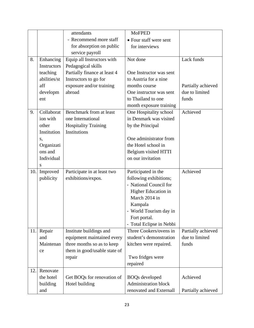|     |              | attendants                   | <b>MoFPED</b>               |                    |
|-----|--------------|------------------------------|-----------------------------|--------------------|
|     |              | - Recommend more staff       | • Four staff were sent      |                    |
|     |              | for absorption on public     | for interviews              |                    |
|     |              | service payroll              |                             |                    |
| 8.  | Enhancing    | Equip all Instructors with   | Not done                    | Lack funds         |
|     | Instructors  | Pedagogical skills           |                             |                    |
|     | teaching     | Partially finance at least 4 | One Instructor was sent     |                    |
|     | abilities/st | Instructors to go for        | to Austria for a nine       |                    |
|     | aff          | exposure and/or training     | months course               | Partially achieved |
|     | developm     | abroad                       | One instructor was sent     | due to limited     |
|     | ent          |                              | to Thailand to one          | funds              |
|     |              |                              | month exposure training     |                    |
| 9.  | Collaborat   | Benchmark from at least      | One Hospitality school      | Achieved           |
|     | ion with     | one International            | in Denmark was visited      |                    |
|     | other        | <b>Hospitality Training</b>  | by the Principal            |                    |
|     | Institution  | Institutions                 |                             |                    |
|     | S,           |                              | One administrator from      |                    |
|     | Organizati   |                              | the Hotel school in         |                    |
|     | ons and      |                              | Belgium visited HTTI        |                    |
|     | Individual   |                              | on our invitation           |                    |
|     | S            |                              |                             |                    |
| 10. | Improved     | Participate in at least two  | Participated in the         | Achieved           |
|     | publicity    | exhibitions/expos.           | following exhibitions;      |                    |
|     |              |                              | - National Council for      |                    |
|     |              |                              | Higher Education in         |                    |
|     |              |                              | March 2014 in               |                    |
|     |              |                              | Kampala                     |                    |
|     |              |                              | - World Tourism day in      |                    |
|     |              |                              | Fort portal.                |                    |
|     |              |                              | Total Eclipse in Nebbi      |                    |
| 11. | Repair       | Institute buildings and      | Three Cookers/ovens in      | Partially achieved |
|     | and          | equipment maintained every   | student's demonstration     | due to limited     |
|     | Maintenan    | three months so as to keep   | kitchen were repaired.      | funds              |
|     | ce           | them in good/usable state of |                             |                    |
|     |              | repair                       | Two fridges were            |                    |
|     |              |                              | repaired                    |                    |
| 12. | Renovate     |                              |                             |                    |
|     | the hotel    | Get BOQs for renovation of   | <b>BOQs</b> developed       | Achieved           |
|     | building     | Hotel building               | <b>Administration block</b> |                    |
|     | and          |                              | renovated and Externall     | Partially achieved |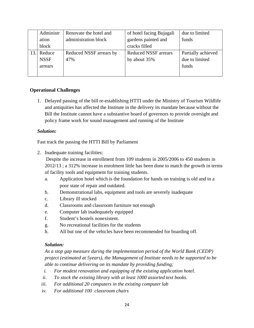| Administr   | Renovate the hotel and  | of hotel facing Bujagali    | due to limited     |
|-------------|-------------------------|-----------------------------|--------------------|
| ation       | administration block    | gardens painted and         | funds              |
| block       |                         | cracks filled               |                    |
| Reduce      | Reduced NSSF arrears by | <b>Reduced NSSF</b> arrears | Partially achieved |
| <b>NSSF</b> | 47%                     | by about 35%                | due to limited     |
| arrears     |                         |                             | funds              |
|             |                         |                             |                    |

### **Operational Challenges**

1. Delayed passing of the bill re-establishing HTTI under the Ministry of Tourism Wildlife and antiquities has affected the Institute in the delivery its mandate because without the Bill the Institute cannot have a substantive board of governors to provide oversight and policy frame work for sound management and running of the Institute

#### *Solution:*

Fast track the passing the HTTI Bill by Parliament

2. Inadequate training facilities:

 Despite the increase in enrollment from 109 students in 2005/2006 to 450 students in 2012/13 ; a 312% increase in enrolment little has been done to match the growth in terms of facility tools and equipment for training students.

- a. Application hotel which is the foundation for hands on training is old and in a poor state of repair and outdated.
- b. Demonstrational labs, equipment and tools are severely inadequate
- c. Library ill stocked
- d. Classrooms and classroom furniture not enough
- e. Computer lab inadequately equipped
- f. Student's hostels nonexistent.
- g. No recreational facilities for the students
- h. All but one of the vehicles have been recommended for boarding off.

### *Solution:*

*As a stop gap measure during the implementation period of the World Bank (CEDP) project (estimated at 5years), the Management of Institute needs to be supported to be able to continue delivering on its mandate by providing funding;* 

- *i. For modest renovation and equipping of the existing application hotel.*
- *ii. To stock the existing library with at least 1000 assorted text books.*
- *iii. For additional 20 computers in the existing computer lab*
- *iv. For additional 100 classroom chairs*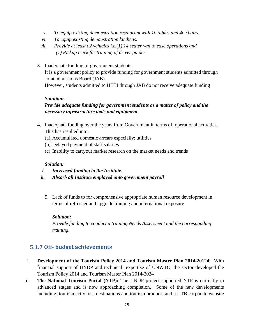- *v. To equip existing demonstration restaurant with 10 tables and 40 chairs.*
- *vi. To equip existing demonstration kitchens.*
- *vii. Provide at least 02 vehicles i.e.(1) 14 seater van to ease operations and (1) Pickup truck for training of driver guides.*
- 3. Inadequate funding of government students: It is a government policy to provide funding for government students admitted through Joint admissions Board (JAB). However, students admitted to HTTI through JAB do not receive adequate funding

### *Solution:*

## *Provide adequate funding for government students as a matter of policy and the necessary infrastructure tools and equipment.*

- 4. Inadequate funding over the years from Government in terms of; operational activities. This has resulted into;
	- (a) Accumulated domestic arrears especially; utilities
	- (b) Delayed payment of staff salaries
	- (c) Inability to carryout market research on the market needs and trends

#### *Solution:*

- *i. Increased funding to the Institute.*
- *ii. Absorb all Institute employed onto government payroll* 
	- 5. Lack of funds to for comprehensive appropriate human resource development in terms of refresher and upgrade training and international exposure

### *Solution:*

*Provide funding to conduct a training Needs Assessment and the corresponding training.* 

# **5.1.7 Off‐ budget achievements**

- i. **Development of the Tourism Policy 2014 and Tourism Master Plan 2014-20124**: With financial support of UNDP and technical expertise of UNWTO, the sector developed the Tourism Policy 2014 and Tourism Master Plan 2014-2024
- ii. **The National Tourism Portal (NTP):** The UNDP project supported NTP is currently in advanced stages and is now approaching completion. Some of the new developments including; tourism activities, destinations and tourism products and a UTB corporate website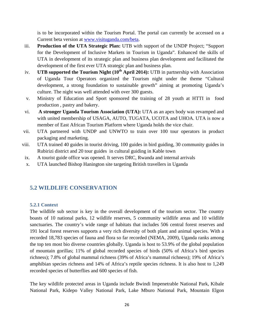is to be incorporated within the Tourism Portal. The portal can currently be accessed on a Current beta version at www.visituganda.com/beta.

- iii. **Production of the UTA Strategic Plan:** UTB with support of the UNDP Project; "Support for the Development of Inclusive Markets in Tourism in Uganda". Enhanced the skills of UTA in development of its strategic plan and business plan development and facilitated the development of the first ever UTA strategic plan and business plan.
- iv. **UTB supported the Tourism Night (10<sup>th</sup> April 2014):** UTB in partnership with Association of Uganda Tour Operators organized the Tourism night under the theme "Cultural development, a strong foundation to sustainable growth" aiming at promoting Uganda's culture. The night was well attended with over 300 guests.
- v. Ministry of Education and Sport sponsored the training of 28 youth at HTTI in food production , pastry and bakery.
- vi. **A stronger Uganda Tourism Association (UTA):** UTA as an apex body was revamped and with united membership of USAGA, AUTO, TUGATA, UCOTA and UHOA. UTA is now a member of East African Tourism Platform where Uganda holds the vice chair.
- vii. UTA partnered with UNDP and UNWTO to train over 100 tour operators in product packaging and marketing.
- viii. UTA trained 40 guides in tourist driving, 100 guides in bird guiding, 30 community guides in Rubirizi district and 20 tour guides in cultural guiding in Kable town
- ix. A tourist guide office was opened. It serves DRC, Rwanda and internal arrivals
- x. UTA launched Bishop Hanington site targeting British travellers in Uganda

# **5.2 WILDLIFE CONSERVATION**

### **5.2.1 Context**

The wildlife sub sector is key in the overall development of the tourism sector. The country boasts of 10 national parks, 12 wildlife reserves, 5 community wildlife areas and 10 wildlife sanctuaries. The country's wide range of habitats that includes 506 central forest reserves and 191 local forest reserves supports a very rich diversity of both plant and animal species. With a recorded 18,783 species of fauna and flora so far recorded (NEMA, 2009), Uganda ranks among the top ten most bio diverse countries globally. Uganda is host to 53.9% of the global population of mountain gorillas; 11% of global recorded species of birds (50% of Africa's bird species richness); 7.8% of global mammal richness (39% of Africa's mammal richness); 19% of Africa's amphibian species richness and 14% of Africa's reptile species richness. It is also host to 1,249 recorded species of butterflies and 600 species of fish.

The key wildlife protected areas in Uganda include Bwindi Impenetrable National Park, Kibale National Park, Kidepo Valley National Park, Lake Mburo National Park, Mountain Elgon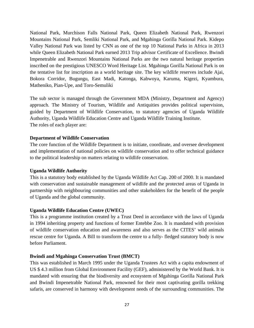National Park, Murchison Falls National Park, Queen Elizabeth National Park, Rwenzori Mountains National Park, Semliki National Park, and Mgahinga Gorilla National Park. Kidepo Valley National Park was listed by CNN as one of the top 10 National Parks in Africa in 2013 while Queen Elizabeth National Park earned 2013 Trip advisor Certificate of Excellence. Bwindi Impenetrable and Rwenzori Mountains National Parks are the two natural heritage properties inscribed on the prestigious UNESCO Word Heritage List. Mgahinga Gorilla National Park is on the tentative list for inscription as a world heritage site. The key wildlife reserves include Ajai, Bokora Corridor, Bugungu, East Madi, Katonga, Kabwoya, Karuma, Kigezi, Kyambura, Matheniko, Pian-Upe, and Toro-Semuliki

The sub sector is managed through the Government MDA (Ministry, Department and Agency) approach. The Ministry of Tourism, Wildlife and Antiquities provides political supervision, guided by Department of Wildlife Conservation, to statutory agencies of Uganda Wildlife Authority, Uganda Wildlife Education Centre and Uganda Wildlife Training Institute. The roles of each player are:

#### **Department of Wildlife Conservation**

The core function of the Wildlife Department is to initiate, coordinate, and oversee development and implementation of national policies on wildlife conservation and to offer technical guidance to the political leadership on matters relating to wildlife conservation.

#### **Uganda Wildlife Authority**

This is a statutory body established by the Uganda Wildlife Act Cap. 200 of 2000. It is mandated with conservation and sustainable management of wildlife and the protected areas of Uganda in partnership with neighbouring communities and other stakeholders for the benefit of the people of Uganda and the global community.

### **Uganda Wildlife Education Centre (UWEC)**

This is a programme institution created by a Trust Deed in accordance with the laws of Uganda in 1994 inheriting property and functions of former Entebbe Zoo. It is mandated with provision of wildlife conservation education and awareness and also serves as the CITES' wild animals rescue centre for Uganda. A Bill to transform the centre to a fully- fledged statutory body is now before Parliament.

### **Bwindi and Mgahinga Conservation Trust (BMCT)**

This was established in March 1995 under the Uganda Trustees Act with a capita endowment of US \$ 4.3 million from Global Environment Facility (GEF), administered by the World Bank. It is mandated with ensuring that the biodiversity and ecosystem of Mgahinga Gorilla National Park and Bwindi Impenetrable National Park, renowned for their most captivating gorilla trekking safaris, are conserved in harmony with development needs of the surrounding communities. The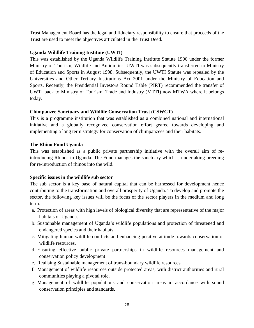Trust Management Board has the legal and fiduciary responsibility to ensure that proceeds of the Trust are used to meet the objectives articulated in the Trust Deed.

### **Uganda Wildlife Training Institute (UWTI)**

This was established by the Uganda Wildlife Training Institute Statute 1996 under the former Ministry of Tourism, Wildlife and Antiquities. UWTI was subsequently transferred to Ministry of Education and Sports in August 1998. Subsequently, the UWTI Statute was repealed by the Universities and Other Tertiary Institutions Act 2001 under the Ministry of Education and Sports. Recently, the Presidential Investors Round Table (PIRT) recommended the transfer of UWTI back to Ministry of Tourism, Trade and Industry (MTTI) now MTWA where it belongs today.

### **Chimpanzee Sanctuary and Wildlife Conservation Trust (CSWCT)**

This is a programme institution that was established as a combined national and international initiative and a globally recognized conservation effort geared towards developing and implementing a long term strategy for conservation of chimpanzees and their habitats.

### **The Rhino Fund Uganda**

This was established as a public private partnership initiative with the overall aim of reintroducing Rhinos in Uganda. The Fund manages the sanctuary which is undertaking breeding for re-introduction of rhinos into the wild.

### **Specific issues in the wildlife sub sector**

The sub sector is a key base of natural capital that can be harnessed for development hence contributing to the transformation and overall prosperity of Uganda. To develop and promote the sector, the following key issues will be the focus of the sector players in the medium and long term:

- a. Protection of areas with high levels of biological diversity that are representative of the major habitats of Uganda.
- b. Sustainable management of Uganda's wildlife populations and protection of threatened and endangered species and their habitats.
- c. Mitigating human wildlife conflicts and enhancing positive attitude towards conservation of wildlife resources.
- d. Ensuring effective public private partnerships in wildlife resources management and conservation policy development
- e. Realising Sustainable management of trans-boundary wildlife resources
- f. Management of wildlife resources outside protected areas, with district authorities and rural communities playing a pivotal role.
- g. Management of wildlife populations and conservation areas in accordance with sound conservation principles and standards.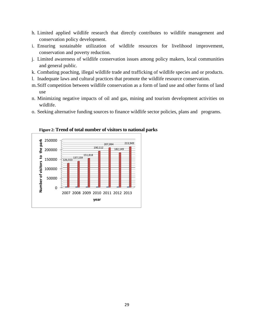- h. Limited applied wildlife research that directly contributes to wildlife management and conservation policy development.
- i. Ensuring sustainable utilization of wildlife resources for livelihood improvement, conservation and poverty reduction.
- j. Limited awareness of wildlife conservation issues among policy makers, local communities and general public.
- k. Combating poaching, illegal wildlife trade and trafficking of wildlife species and or products.
- l. Inadequate laws and cultural practices that promote the wildlife resource conservation.
- m.Stiff competition between wildlife conservation as a form of land use and other forms of land use
- n. Minimizing negative impacts of oil and gas, mining and tourism development activities on wildlife.
- o. Seeking alternative funding sources to finance wildlife sector policies, plans and programs.



**Figure 2: Trend of total number of visitors to national parks**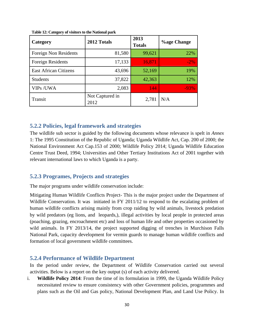| Category                     | 2012 Totals             | 2013<br><b>Totals</b> | <b>Vage Change</b> |
|------------------------------|-------------------------|-----------------------|--------------------|
| Foreign Non Residents        | 81,580                  | 99,621                | 22%                |
| <b>Foreign Residents</b>     | 17,133                  | 16,871                | $-2\%$             |
| <b>East African Citizens</b> | 43,696                  | 52,169                | 19%                |
| <b>Students</b>              | 37,822                  | 42,363                | 12%                |
| <b>VIPs/UWA</b>              | 2,083                   | 144                   | $-93%$             |
| Transit                      | Not Captured in<br>2012 | 2,781                 | N/A                |

**Table 12: Category of visitors to the National park** 

### **5.2.2 Policies, legal framework and strategies**

The wildlife sub sector is guided by the following documents whose relevance is spelt in *Annex* 1: The 1995 Constitution of the Republic of Uganda; Uganda Wildlife Act, Cap. 200 of 2000; the National Environment Act Cap.153 of 2000; Wildlife Policy 2014; Uganda Wildlife Education Centre Trust Deed, 1994; Universities and Other Tertiary Institutions Act of 2001 together with relevant international laws to which Uganda is a party.

#### **5.2.3 Programes, Projects and strategies**

The major programs under wildlife conservation include:

Mitigating Human Wildlife Conflicts Project- This is the major project under the Department of Wildlife Conservation. It was initiated in FY 2011/12 to respond to the escalating problem of human wildlife conflicts arising mainly from crop raiding by wild animals, livestock predation by wild predators (eg lions, and leopards,), illegal activities by local people in protected areas (poaching, grazing, encroachment etc) and loss of human life and other properties occasioned by wild animals. In FY 2013/14, the project supported digging of trenches in Murchison Falls National Park, capacity development for vermin guards to manage human wildlife conflicts and formation of local government wildlife committees.

### **5.2.4 Performance of Wildlife Department**

In the period under review, the Department of Wildlife Conservation carried out several activities. Below is a report on the key output (s) of each activity delivered.

i. **Wildlife Policy 2014**: From the time of its formulation in 1999, the Uganda Wildlife Policy necessitated review to ensure consistency with other Government policies, programmes and plans such as the Oil and Gas policy, National Development Plan, and Land Use Policy. In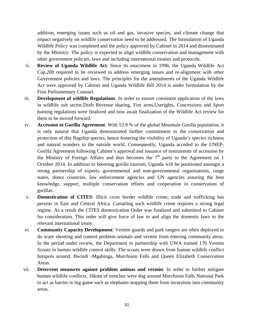addition, emerging issues such as oil and gas, invasive species, and climate change that impact negatively on wildlife conservation need to be addressed. The formulation of Uganda Wildlife Policy was completed and the policy approved by Cabinet in 2014 and disseminated by the Ministry. The policy is expected to align wildlife conservation and management with other government policies, laws and including international treaties and protocols.

- ii. **Review of Uganda Wildlife Act**: Since its enactment in 1996, the Uganda Wildlife Act Cap.200 required to be reviewed to address emerging issues and re-alignment with other Government policies and laws. The principles for the amendments of the Uganda Wildlife Act were approved by Cabinet and Uganda Wildlife Bill 2014 is under formulation by the First Parliamentary Counsel.
- iii. **Development of wildlife Regulations**: In order to ensure consistent application of the laws in wildlife sub sector,Draft Revenue sharing, Fire arms,Userights, Concessions and Sport hunting regulations were finalized and now await finalization of the Wildlife Act review for them to be moved forward.
- iv. **Accession to Gorilla Agreement**: With 53.9 % of the global Mountain Gorilla population, it is only natural that Uganda demonstrated further commitment to the conservation and protection of this flagship species, hence fostering the visibility of Uganda's species richness and natural wonders to the outside world. Consequently, Uganda acceded to the UNEP-Gorilla Agreement following Cabinet's approval and issuance of instruments of accession by the Ministry of Foreign Affairs and thus becomes the  $7<sup>th</sup>$  party to the Agreement on 1 October 2014. In addition to boosting gorilla tourism, Uganda will be positioned amongst a strong partnership of experts, governmental and non-governmental organisations, range states, donor countries, law enforcement agencies and UN agencies assuring the best knowledge, support, multiple conservation efforts and cooperation in conservation of gorillas.
- v. **Domestication of CITES**: Illicit cross border wildlife crime, trade and trafficking has persists in East and Central Africa. Curtailing such wildlife crime requires a strong legal regime. As a result the CITES domestication Order was finalized and submitted to Cabinet for consideration. This order will give force of law to and align the domestic laws to the relevant international treaty.
- vi. **Community Capacity Development**: Vermin guards and park rangers are often deployed to do scare shooting and control problem animals and vermin from entering community areas. In the period under review, the Department in partnership with UWA trained 170 Vermin Scouts in human wildlife control skills. The scouts were drawn from human wildlife conflict hotspots around, Bwindi -Mgahinga, Murchison Falls and Queen Elizabeth Conservation Areas.
- vii. **Deterrent measures against problem animas and vermin**: In order to further mitigate human wildlife conflicts, 16kms of trenches were dug around Murchison Falls National Park to act as barrier to big game such as elephants stopping them from incursions into community areas.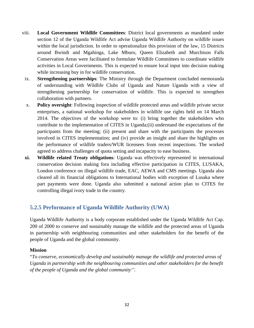- viii. **Local Government Wildlife Committees**: District local governments as mandated under section 12 of the Uganda Wildlife Act advise Uganda Wildlife Authority on wildlife issues within the local jurisdiction. In order to operationalize this provision of the law, 15 Districts around Bwindi and Mgahinga, Lake Mburo, Queen Elizabeth and Murchison Falls Conservation Areas were facilitated to formulate Wildlife Committees to coordinate wildlife activities in Local Governments. This is expected to ensure local input into decision making while increasing buy in for wildlife conservation.
- ix. **Strengthening partnerships**: The Ministry through the Department concluded memoranda of understanding with Wildlife Clubs of Uganda and Nature Uganda with a view of strengthening partnership for conservation of wildlife. This is expected to strengthen collaboration with partners.
- x. **Policy oversight**: Following inspection of wildlife protected areas and wildlife private sector enterprises, a national workshop for stakeholders in wildlife use rights held on 14 March 2014. The objectives of the workshop were to: (i) bring together the stakeholders who contribute to the implementation of CITES in Uganda;(ii) understand the expectations of the participants from the meeting; (ii) present and share with the participants the processes involved in CITES implementation; and (iv) provide an insight and share the highlights on the performance of wildlife traders/WUR licensees from recent inspections. The worked agreed to address challenges of quota setting and incapacity to ease business.
- **xi. Wildlife related Treaty obligations**: Uganda was effectively represented in international conservation decision making fora including effective participation in CITES, LUSAKA, London conference on illegal wildlife trade, EAC, AEWA and CMS meetings. Uganda also cleared all its financial obligations to International bodies with exception of Lusaka where part payments were done. Uganda also submitted a national action plan to CITES for controlling illegal ivory trade in the country.

## **5.2.5 Performance of Uganda Wildlife Authority (UWA)**

Uganda Wildlife Authority is a body corporate established under the Uganda Wildlife Act Cap. 200 of 2000 to conserve and sustainably manage the wildlife and the protected areas of Uganda in partnership with neighbouring communities and other stakeholders for the benefit of the people of Uganda and the global community.

#### **Mission**

"*To conserve, economically develop and sustainably manage the wildlife and protected areas of Uganda in partnership with the neighbouring communities and other stakeholders for the benefit of the people of Uganda and the global community''.*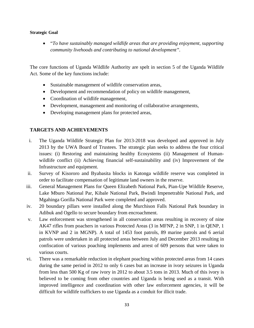#### **Strategic Goal**

 "*To have sustainably managed wildlife areas that are providing enjoyment, supporting community livehoods and contributing to national development".* 

The core functions of Uganda Wildlife Authority are spelt in section 5 of the Uganda Wildlife Act. Some of the key functions include:

- Sustainable management of wildlife conservation areas,
- Development and recommendation of policy on wildlife management,
- Coordination of wildlife management,
- Development, management and monitoring of collaborative arrangements,
- Developing management plans for protected areas,

### **TARGETS AND ACHIEVEMENTS**

- i. The Uganda Wildlife Strategic Plan for 2013-2018 was developed and approved in July 2013 by the UWA Board of Trustees. The strategic plan seeks to address the four critical issues: (i) Restoring and maintaining healthy Ecosystems (ii) Management of Humanwildlife conflict (ii) Achieving financial self-sustainability and (iv) Improvement of the Infrastructure and equipment.
- ii. Survey of Kisororo and Byabasita blocks in Katonga wildlife reserve was completed in order to facilitate compensation of legitimate land owners in the reserve.
- iii. General Management Plans for Queen Elizabeth National Park, Pian-Upe Wildlife Reserve, Lake Mburo National Par, Kibale National Park, Bwindi Impenetrable National Park, and Mgahinga Gorilla National Park were completed and approved.
- iv. 20 boundary pillars were installed along the Murchison Falls National Park boundary in Adibuk and Ogello to secure boundary from encroachment.
- v. Law enforcement was strengthened in all conservation areas resulting in recovery of nine AK47 rifles from poachers in various Protected Areas (3 in MFNP, 2 in SNP, 1 in QENP, 1 in KVNP and 2 in MGNP). A total of 1453 foot patrols, 89 marine patrols and 6 aerial patrols were undertaken in all protected areas between July and December 2013 resulting in confiscation of various poaching implements and arrest of 609 persons that were taken to various courts.
- vi. There was a remarkable reduction in elephant poaching within protected areas from 14 cases during the same period in 2012 to only 6 cases but an increase in ivory seizures in Uganda from less than 500 Kg of raw ivory in 2012 to about 3.5 tons in 2013. Much of this ivory is believed to be coming from other countries and Uganda is being used as a transit. With improved intelligence and coordination with other law enforcement agencies, it will be difficult for wildlife traffickers to use Uganda as a conduit for illicit trade.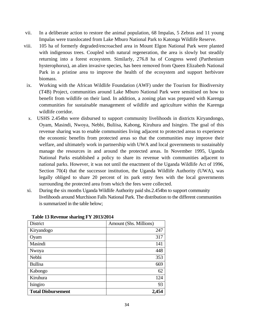- vii. In a deliberate action to restore the animal population, 68 Impalas, 5 Zebras and 11 young Impalas were translocated from Lake Mburo National Park to Katonga Wildlife Reserve.
- viii. 105 ha of formerly degraded/encroached area in Mount Elgon National Park were planted with indigenous trees. Coupled with natural regeneration, the area is slowly but steadily returning into a forest ecosystem. Similarly, 276.8 ha of Congress weed (Parthenium hysterophorus), an alien invasive species, has been removed from Queen Elizabeth National Park in a pristine area to improve the health of the ecosystem and support herbivore biomass.
- ix. Working with the African Wildlife Foundation (AWF) under the Tourism for Biodiversity (T4B) Project, communities around Lake Mburo National Park were sensitised on how to benefit from wildlife on their land. In addition, a zoning plan was prepared with Karenga communities for sustainable management of wildlife and agriculture within the Karenga wildlife corridor.
- x. USHS 2.454bn were disbursed to support community livelihoods in districts Kiryandongo, Oyam, Masindi, Nwoya, Nebbi, Buliisa, Kabong, Kiruhura and Isingiro. The goal of this revenue sharing was to enable communities living adjacent to protected areas to experience the economic benefits from protected areas so that the communities may improve their welfare, and ultimately work in partnership with UWA and local governments to sustainably manage the resources in and around the protected areas. In November 1995, Uganda National Parks established a policy to share its revenue with communities adjacent to national parks. However, it was not until the enactment of the Uganda Wildlife Act of 1996, Section 70(4) that the successor institution, the Uganda Wildlife Authority (UWA), was legally obliged to share 20 percent of its park entry fees with the local governments surrounding the protected area from which the fees were collected.
- xi. During the six months Uganda Wildlife Authority paid shs.2.454bn to support community livelihoods around Murchison Falls National Park. The distribution to the different communities is summarized in the table below;

| District                  | Amount (Shs. Millions) |
|---------------------------|------------------------|
| Kiryandogo                | 247                    |
| Oyam                      | 317                    |
| Masindi                   | 141                    |
| Nwoya                     | 448                    |
| Nebbi                     | 353                    |
| <b>Bullisa</b>            | 669                    |
| Kabongo                   | 62                     |
| Kiruhura                  | 124                    |
| Isingiro                  | 93                     |
| <b>Total Disbursement</b> | 2,45                   |

**Table 13 Revenue sharing FY 2013/2014**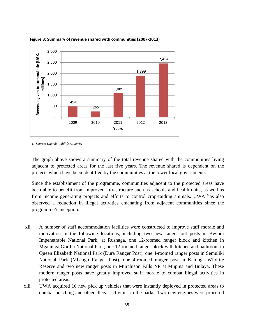

**Figure 3: Summary of revenue shared with communities (2007‐2013)**

*1. Source: Uganda Wildlife Authority* 

The graph above shows a summary of the total revenue shared with the communities living adjacent to protected areas for the last five years. The revenue shared is dependent on the projects which have been identified by the communities at the lower local governments.

Since the establishment of the programme, communities adjacent to the protected areas have been able to benefit from improved infrastructure such as schools and health units, as well as from income generating projects and efforts to control crop-raiding animals. UWA has also observed a reduction in illegal activities emanating from adjacent communities since the programme's inception.

- xii. A number of staff accommodation facilities were constructed to improve staff morale and motivation in the following locations, including two new ranger out posts in Bwindi Impenetrable National Park; at Rushaga, one 12-roomed ranger block and kitchen in Mgahinga Gorilla National Park, one 12-roomed ranger block with kitchen and bathroom in Queen Elizabeth National Park (Dura Ranger Post), one 4-roomed ranger posts in Semuliki National Park (Mbango Ranger Post), one 4-roomed ranger post in Katonga Wildlife Reserve and two new ranger posts in Murchison Falls NP at Mupina and Bulaya. These modern ranger posts have greatly improved staff morale to combat illegal activities in protected areas.
- xiii. UWA acquired 16 new pick up vehicles that were instantly deployed in protected areas to combat poaching and other illegal activities in the parks. Two new engines were procured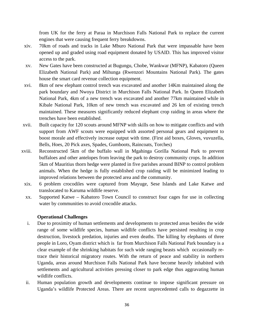from UK for the ferry at Paraa in Murchison Falls National Park to replace the current engines that were causing frequent ferry breakdowns.

- xiv. 70km of roads and tracks in Lake Mburo National Park that were impassable have been opened up and graded using road equipment donated by USAID. This has improved visitor access to the park.
- xv. New Gates have been constructed at Bugungu, Chobe, Wankwar (MFNP), Kabatoro (Queen Elizabeth National Park) and Mihunga (Rwenzori Mountains National Park). The gates house the smart card revenue collection equipment.
- xvi. 8km of new elephant control trench was excavated and another 14Km maintained along the park boundary and Nwoya District in Murchison Falls National Park. In Queen Elizabeth National Park, 4km of a new trench was excavated and another 77km maintained while in Kibale National Park, 10km of new trench was excavated and 26 km of existing trench maintained. These measures significantly reduced elephant crop raiding in areas where the trenches have been established.
- xvii. Built capacity for 120 scouts around MFNP with skills on how to mitigate conflicts and with support from AWF scouts were equipped with assorted personal gears and equipment to boost morale and effectively increase output with time. (First aid boxes, Gloves, vuvuzella, Bells, Hoes, 20 Pick axes, Spades, Gumboots, Raincoats, Torches)
- xviii. Reconstructed 5km of the buffalo wall in Mgahinga Gorilla National Park to prevent buffaloes and other antelopes from leaving the park to destroy community crops. In addition 5km of Mauritius thorn hedge were planted in five parishes around BINP to control problem animals. When the hedge is fully established crop raiding will be minimized leading to improved relations between the protected area and the community.
- xix. 6 problem crocodiles were captured from Mayuge, Sese Islands and Lake Katwe and translocated to Karuma wildlife reserve.
- xx. Supported Katwe Kabatoro Town Council to construct four cages for use in collecting water by communities to avoid crocodile attacks.

### **Operational Challenges**

- i. Due to proximity of human settlements and developments to protected areas besides the wide range of some wildlife species, human wildlife conflicts have persisted resulting in crop destruction, livestock predation, injuries and even deaths. The killing by elephants of three people in Loro, Oyam district which is far from Murchison Falls National Park boundary is a clear example of the shrinking habitats for such wide ranging beasts which occasionally retrace their historical migratory routes. With the return of peace and stability in northern Uganda, areas around Murchison Falls National Park have become heavily inhabited with settlements and agricultural activities pressing closer to park edge thus aggravating human wildlife conflicts.
- ii. Human population growth and developments continue to impose significant pressure on Uganda's wildlife Protected Areas. There are recent unprecedented calls to degazzette in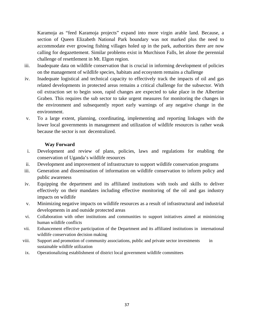Karamoja as "feed Karamoja projects" expand into more virgin arable land. Because, a section of Queen Elizabeth National Park boundary was not marked plus the need to accommodate ever growing fishing villages holed up in the park, authorities there are now calling for degazettement. Similar problems exist in Murchison Falls, let alone the perennial challenge of resettlement in Mt. Elgon region.

- iii. Inadequate data on wildlife conservation that is crucial in informing development of policies on the management of wildlife species, habitats and ecosystem remains a challenge
- iv. Inadequate logistical and technical capacity to effectively track the impacts of oil and gas related developments in protected areas remains a critical challenge for the subsector. With oil extraction set to begin soon, rapid changes are expected to take place in the Albertine Graben. This requires the sub sector to take urgent measures for monitoring the changes in the environment and subsequently report early warnings of any negative change in the environment.
- v. To a large extent, planning, coordinating, implementing and reporting linkages with the lower local governments in management and utilization of wildlife resources is rather weak because the sector is not decentralized.

#### **Way Forward**

- i. Development and review of plans, policies, laws and regulations for enabling the conservation of Uganda's wildlife resources
- ii. Development and improvement of infrastructure to support wildlife conservation programs
- iii. Generation and dissemination of information on wildlife conservation to inform policy and public awareness
- iv. Equipping the department and its affiliated institutions with tools and skills to deliver effectively on their mandates including effective monitoring of the oil and gas industry impacts on wildlife
- v. Minimizing negative impacts on wildlife resources as a result of infrastructural and industrial developments in and outside protected areas
- vi. Collaboration with other institutions and communities to support initiatives aimed at minimizing human wildlife conflicts
- vii. Enhancement effective participation of the Department and its affiliated institutions in international wildlife conservation decision making
- viii. Support and promotion of community associations, public and private sector investments in sustainable wildlife utilization
- ix. Operationalizing establishment of district local government wildlife committees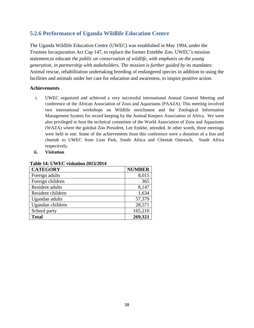# **5.2.6 Performance of Uganda Wildlife Education Centre**

The Uganda Wildlife Education Centre (UWEC) was established in May 1994, under the Trustees Incorporation Act Cap 147, to replace the former Entebbe Zoo. UWEC's mission statement;*to educate the public on conservation of wildlife, with emphasis on the young generation, in partnership with stakeholders. The mission is further guided by its mandates:* Animal rescue, rehabilitation undertaking breeding of endangered species in addition to using the facilities and animals under her care for education and awareness, to inspire positive action.

#### **Achievements**

- i. UWEC organized and achieved a very successful international Annual General Meeting and conference of the African Association of Zoos and Aqauriums (PAAZA). This meeting involved two international workshops on Wildlife enrichment and the Zoological Information Management System for record keeping by the Animal Keepers Association of Africa. We were also privileged to host the technical committee of the World Association of Zoos and Aqauriums (WAZA) where the golobal Zoo President, Lee Emkhe, attended. In other words, three meetings were held in one. Some of the achievements from this conference were a donation of a lion and cheetah to UWEC from Lion Park, South Africa and Cheetah Outreach, South Africa respectively.
- **ii. Visitation**

| <b>CATEGORY</b>   | <b>NUMBER</b> |
|-------------------|---------------|
| Foreign adults    | 8,015         |
| Foreign children  | 365           |
| Resident adults   | 8,147         |
| Resident children | 1,634         |
| Ugandan adults    | 57,379        |
| Ugandan children  | 28,571        |
| School party      | 165,210       |
| <b>Total</b>      | 269,321       |

#### **Table 14: UWEC visitation 2013/2014**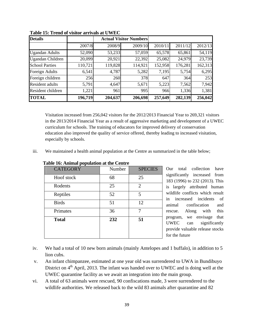| <b>Details</b>          |         |         | <b>Actual Visitor Numbers</b> |         |         |         |
|-------------------------|---------|---------|-------------------------------|---------|---------|---------|
|                         | 2007/8  | 2008/9  | 2009/10                       | 2010/11 | 2011/12 | 2012/13 |
| <b>Ugandan Adults</b>   | 52,090  | 53,233  | 57,059                        | 65,578  | 65,861  | 54,119  |
| <b>Ugandan Children</b> | 20,099  | 20,921  | 22,392                        | 25,082  | 24,979  | 23,739  |
| <b>School Parties</b>   | 110,721 | 119,828 | 114,921                       | 152,958 | 176,281 | 162,313 |
| Foreign Adults          | 6,541   | 4,787   | 5,282                         | 7,195   | 5,754   | 6,295   |
| Foreign children        | 256     | 260     | 378                           | 647     | 364     | 253     |
| <b>Resident adults</b>  | 5,791   | 4,647   | 5,671                         | 5,223   | 7,562   | 7,942   |
| Resident children       | 1,221   | 961     | 995                           | 966     | 1,336   | 1,381   |
| <b>TOTAL</b>            | 196,719 | 204,637 | 206,698                       | 257,649 | 282,139 | 256,042 |

**Table 15: Trend of visitor arrivals at UWEC** 

Visitation increased from 256,042 visitors for the 2012/2013 Financial Year to 269,321 visitors in the 2013/2014 Financial Year as a result of aggressive marketing and development of a UWEC curriculum for schools. The training of educators for improved delivery of conservation education also improved the quality of service offered, thereby leading to increased visitation, especially by schools.

iii. We maintained a health animal population at the Centre as summarized in the table below;

| <b>CATEGORY</b> | Number |                |  |
|-----------------|--------|----------------|--|
| Hoof stock      | 68     | 25             |  |
| Rodents         | 25     | $\overline{2}$ |  |
| Reptiles        | 52     | 5              |  |
| <b>Birds</b>    | 51     | 12             |  |
| Primates        | 36     | 7              |  |
| <b>Total</b>    | 232    | 51             |  |
|                 |        |                |  |
|                 |        |                |  |

**Table 16: Animal population at the Centre** 

Our total collection have significantly increased from 183 (1996) to 232 (2013). This is largely attributed human wildlife conflicts which result in increased incidents of animal confiscation and rescue. Along with this program, we envisage that UWEC can significantly provide valuable release stocks for the future

- iv. We had a total of 10 new born animals (mainly Antelopes and 1 buffalo), in addition to 5 lion cubs.
- v. An infant chimpanzee, estimated at one year old was surrendered to UWA in Bundibuyo District on 4<sup>th</sup> April, 2013. The infant was handed over to UWEC and is doing well at the UWEC quarantine facility as we await an integration into the main group.
- vi. A total of 63 animals were rescued, 90 confiscations made, 3 were surrendered to the wildlife authorities. We released back to the wild 83 animals after quarantine and 82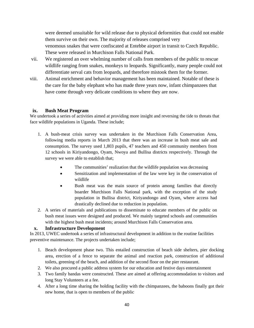were deemed unsuitable for wild release due to physical deformities that could not enable them survive on their own. The majority of releases comprised very venomous snakes that were confiscated at Entebbe airport in transit to Czech Republic. These were released in Murchison Falls National Park.

- vii. We registered an over whelming number of calls from members of the public to rescue wildlife ranging from snakes, monkeys to leopards. Significantly, many people could not differentiate serval cats from leopards, and therefore mistook them for the former.
- viii. Animal enrichment and behavior management has been maintained. Notable of these is the care for the baby elephant who has made three years now, infant chimpanzees that have come through very delicate conditions to where they are now.

#### **ix. Bush Meat Program**

We undertook a series of activities aimed at providing more insight and reversing the tide to threats that face wildlife populations in Uganda. These include;

- 1. A bush-meat crisis survey was undertaken in the Murchison Falls Conservation Area, following media reports in March 2013 that there was an increase in bush meat sale and consumption. The survey used 1,803 pupils, 47 teachers and 450 community members from 12 schools in Kiriyandongo, Oyam, Nwoya and Bullisa districts respectively. Through the survey we were able to establish that;
	- The communities' realization that the wildlife population was decreasing
	- Sensitization and implementation of the law were key in the conservation of wildlife
	- Bush meat was the main source of protein among families that directly boarder Murchison Falls National park, with the exception of the study population in Bullisa district, Kiriyandongo and Oyam, where access had drastically declined due to reduction in population.
- 2. A series of materials and publications to disseminate to educate members of the public on bush meat issues were designed and produced. We mainly targeted schools and communities with the highest bush meat incidents; around Murchison Falls Conservation area.

### **x. Infrastructure Development**

In 2013, UWEC undertook a series of infrastructural development in addition to the routine facilities preventive maintenance. The projects undertaken include;

- 1. Beach development phase two. This entailed construction of beach side shelters, pier docking area, erection of a fence to separate the animal and reaction park, construction of additional toilets, greening of the beach, and addition of the second floor on the pier restaurant.
- 2. We also procured a public address system for our education and festive days entertainment
- 3. Two family bandas were constructed. These are aimed at offering accommodation to visitors and long Stay Volunteers at a fee.
- 4. After a long time sharing the holding facility with the chimpanzees, the baboons finally got their new home, that is open to members of the public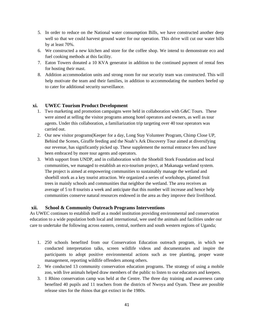- 5. In order to reduce on the National water consumption Bills, we have constructed another deep well so that we could harvest ground water for our operation. This drive will cut our water bills by at least 70%.
- 6. We constructed a new kitchen and store for the coffee shop. We intend to demonstrate eco and fuel cooking methods at this facility.
- 7. Eaton Towers donated a 10 KVA generator in addition to the continued payment of rental fees for hosting their mast.
- 8. Addition accommodation units and strong room for our security team was constructed. This will help motivate the team and their families, in addition to accommodating the numbers beefed up to cater for additional security surveillance.

#### **xi. UWEC Tourism Product Development**

- 1. Two marketing and promotion campaigns were held in collaboration with G&C Tours. These were aimed at selling the visitor programs among hotel operators and owners, as well as tour agents. Under this collaboration, a familiarization trip targeting over 40 tour operators was carried out.
- 2. Our new visitor programs(Keeper for a day, Long Stay Volunteer Program, Chimp Close UP, Behind the Scenes, Giraffe feeding and the Noah's Ark Discovery Tour aimed at diversifying our revenue, has significantly picked up. These supplement the normal entrance fees and have been embraced by more tour agents and operators.
- 3. With support from UNDP, and in collaboration with the Shoebill Stork Foundation and local communities, we managed to establish an eco-tourism project, at Makanaga wetland system. The project is aimed at empowering communities to sustainably manage the wetland and shoebill stork as a key tourist attraction. We organized a series of workshops, planted fruit trees in mainly schools and communities that neighbor the wetland. The area receives an average of 5 to 8 tourists a week and anticipate that this number will increase and hence help communities conserve natural resources endowed in the area as they improve their livelihood.

#### **xii. School & Community Outreach Programs Interventions**

As UWEC continues to establish itself as a model institution providing environmental and conservation education to a wide population both local and international, wee used the animals and facilities under our care to undertake the following across eastern, central, northern and south western regions of Uganda;

- 1. 250 schools benefited from our Conservation Education outreach program, in which we conducted interpretation talks, screen wildlife videos and documentaries and inspire the participants to adopt positive environmental actions such as tree planting, proper waste management, reporting wildlife offenders among others.
- 2. We conducted 13 community conservation education programs. The strategy of using a mobile zoo, with live animals helped draw members of the public to listen to our educators and keepers.
- 3. 1 Rhino conservation camp was held at the Centre. The three day training and awareness camp benefited 40 pupils and 11 teachers from the districts of Nwoya and Oyam. These are possible release sites for the rhinos that got extinct in the 1980s.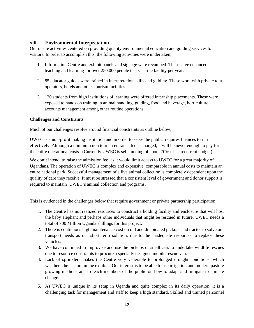#### **xiii. Environmental Interpretation**

Our onsite activities centered on providing quality environmental education and guiding services to visitors. In order to accomplish this, the following activities were undertaken;

- 1. Information Centre and exhibit panels and signage were revamped. These have enhanced teaching and learning for over 250,000 people that visit the facility per year.
- 2. 85 educator guides were trained in interpretation skills and guiding. These work with private tour operators, hotels and other tourism facilities.
- 3. 120 students from high institutions of learning were offered internship placements. These were exposed to hands on training in animal handling, guiding, food and beverage, horticulture, accounts management among other routine operations.

#### **Challenges and Constraints**

Much of our challenges resolve around financial constraints as outline below;

UWEC is a non-profit making institution and in order to serve the public, requires finances to run effectively. Although a minimum non touristi entrance fee is charged, it will be never enough to pay for the entire operational costs. (Currently UWEC is self-funding of about 70% of its recurrent budget).

We don't intend to raise the admission fee, as it would limit access to UWEC for a great majority of Ugandans. The operation of UWEC is complex and expensive, comparable in annual costs to maintain an entire national park. Successful management of a live animal collection is completely dependent upon the quality of care they receive. It must be stressed that a consistent level of government and donor support is required to maintain UWEC's animal collection and programs.

This is evidenced in the challenges below that require government or private partnership participation;

- 1. The Centre has not realized resources to construct a holding facility and enclosure that will host the baby elephant and perhaps other individuals that might be rescued in future. UWEC needs a total of 700 Million Uganda shillings for this project.
- 2. There is continuous high maintenance cost on old and dilapidated pickups and tractor to solve our transport needs as our short term solution, due to the inadequate resources to replace these vehicles.
- 3. We have continued to improvise and use the pickups or small cars to undertake wildlife rescues due to resource constraints to procure a specially designed mobile rescue van.
- 4. Lack of sprinklers makes the Centre very venerable to prolonged drought conditions, which weathers the pasture in the exhibits. Our interest is to be able to use irrigation and modern pasture growing methods and to teach members of the public on how to adapt and mitigate to climate change.
- 5. As UWEC is unique in its setup in Uganda and quite complex in its daily operation, it is a challenging task for management and staff to keep a high standard. Skilled and trained personnel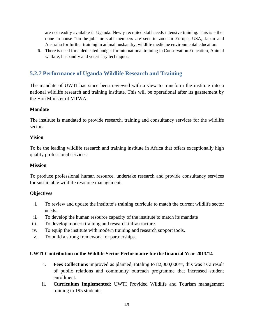are not readily available in Uganda. Newly recruited staff needs intensive training. This is either done in-house "on-the-job" or staff members are sent to zoos in Europe, USA, Japan and Australia for further training in animal husbandry, wildlife medicine environmental education.

6. There is need for a dedicated budget for international training in Conservation Education, Animal welfare, husbandry and veterinary techniques.

# **5.2.7 Performance of Uganda Wildlife Research and Training**

The mandate of UWTI has since been reviewed with a view to transform the institute into a national wildlife research and training institute. This will be operational after its gazetement by the Hon Minister of MTWA.

#### **Mandate**

The institute is mandated to provide research, training and consultancy services for the wildlife sector.

#### **Vision**

To be the leading wildlife research and training institute in Africa that offers exceptionally high quality professional services

#### **Mission**

To produce professional human resource, undertake research and provide consultancy services for sustainable wildlife resource management.

### **Objectives**

- i. To review and update the institute's training curricula to match the current wildlife sector needs.
- ii. To develop the human resource capacity of the institute to match its mandate
- iii. To develop modern training and research infrastructure.
- iv. To equip the institute with modern training and research support tools.
- v. To build a strong framework for partnerships.

### **UWTI Contribution to the Wildlife Sector Performance for the financial Year 2013/14**

- i. **Fees Collections** improved as planned, totaling to 82,000,000/=, this was as a result of public relations and community outreach programme that increased student enrollment.
- ii. **Curriculum Implemented:** UWTI Provided Wildlife and Tourism management training to 195 students.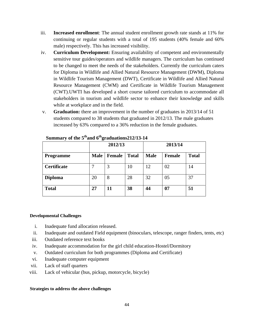- iii. **Increased enrollment**: The annual student enrollment growth rate stands at 11% for continuing or regular students with a total of 195 students (40% female and 60% male) respectively. This has increased visibility.
- iv. **Curriculum Development:** Ensuring availability of competent and environmentally sensitive tour guides/operators and wildlife managers. The curriculum has continued to be changed to meet the needs of the stakeholders. Currently the curriculum caters for Diploma in Wildlife and Allied Natural Resource Management (DWM), Diploma in Wildlife Tourism Management (DWT), Certificate in Wildlife and Allied Natural Resource Management (CWM) and Certificate in Wildlife Tourism Management (CWT).UWTI has developed a short course tailored curriculum to accommodate all stakeholders in tourism and wildlife sector to enhance their knowledge and skills while at workplace and in the field.
- v. **Graduation:** there an improvement in the number of graduates in 2013/14 of 51 students compared to 38 students that graduated in 2012/13. The male graduates increased by 63% compared to a 36% reduction in the female graduates.

|                  |             | 2012/13       |              | 2013/14     |               |              |
|------------------|-------------|---------------|--------------|-------------|---------------|--------------|
| <b>Programme</b> | <b>Male</b> | <b>Female</b> | <b>Total</b> | <b>Male</b> | <b>Female</b> | <b>Total</b> |
| Certificate      |             | 3             | 10           | 12          | 02            | 14           |
| <b>Diploma</b>   | 20          | 8             | 28           | 32          | 05            | 37           |
| <b>Total</b>     | 27          | 11            | 38           | 44          | 07            | 51           |

**Summary of the 5thand 6thgraduations212/13-14**

#### **Developmental Challenges**

- i. Inadequate fund allocation released.
- ii. Inadequate and outdated Field equipment (binoculars, telescope, ranger finders, tents, etc)
- iii. Outdated reference text books
- iv. Inadequate accommodation for the girl child education-Hostel/Dormitory
- v. Outdated curriculum for both programmes (Diploma and Certificate)
- vi. Inadequate computer equipment
- vii. Lack of staff quarters
- viii. Lack of vehicular (bus, pickup, motorcycle, bicycle)

#### **Strategies to address the above challenges**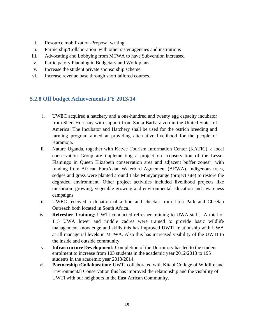- i. Resource mobilization-Proposal writing
- ii. Partnership/Collaboration with other sister agencies and institutions
- iii. Advocating and Lobbying from MTWA to have Subvention increased
- iv. Participatory Planning in Budgetary and Work plans
- v. Increase the student private sponsorship scheme
- vi. Increase revenue base through short tailored courses.

## **5.2.8 Off budget Achievements FY 2013/14**

- i. UWEC acquired a hatchery and a one-hundred and twenty egg capacity incubator from Sheri Horiszny with support from Santa Barbara zoo in the United States of America. The Incubator and Hatchery shall be used for the ostrich breeding and farming program aimed at providing alternative livelihood for the people of Karamoja.
- ii. Nature Uganda, together with Katwe Tourism Information Center (KATIC), a local conservation Group are implementing a project on "conservation of the Lesser Flamingo in Queen Elizabeth conservation area and adjacent buffer zones", with funding from African EuraAsian Waterbird Agreement (AEWA). Indigenous trees, sedges and grass were planted around Lake Munyanyange (project site) to restore the degraded environment. Other project activities included livelihood projects like mushroom growing, vegetable growing and environmental education and awareness campaigns
- iii. UWEC received a donation of a lion and cheetah from Lion Park and Cheetah Outreach both located in South Africa.
- iv. **Refresher Training**: UWTI conducted refresher training to UWA staff. A total of 115 UWA lower and middle cadres were trained to provide basic wildlife management knowledge and skills this has improved UWTI relationship with UWA at all managerial levels in MTWA. Also this has increased visibility of the UWTI to the inside and outside community.
- v. **Infrastructure Development:** Completion of the Dormitory has led to the student enrolment to increase from 103 students in the academic year 2012/2013 to 195 students in the academic year 2013/2014.
- vi. **Partnership /Collaboration:** UWTI collaborated with Kitabi College of Wildlife and Environmental Conservation this has improved the relationship and the visibility of UWTI with our neighbors in the East African Community.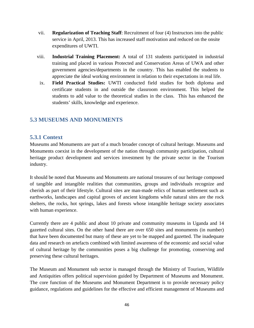- vii. **Regularization of Teaching Staff**: Recruitment of four (4) Instructors into the public service in April, 2013. This has increased staff motivation and reduced on the onsite expenditures of UWTI.
- viii. **Industrial Training Placement:** A total of 131 students participated in industrial training and placed in various Protected and Conservation Areas of UWA and other government agencies/departments in the country. This has enabled the students to appreciate the ideal working environment in relation to their expectations in real life.
	- ix. **Field Practical Studies:** UWTI conducted field studies for both diploma and certificate students in and outside the classroom environment. This helped the students to add value to the theoretical studies in the class. This has enhanced the students' skills, knowledge and experience.

## **5.3 MUSEUMS AND MONUMENTS**

## **5.3.1 Context**

Museums and Monuments are part of a much broader concept of cultural heritage. Museums and Monuments coexist in the development of the nation through community participation, cultural heritage product development and services investment by the private sector in the Tourism industry.

It should be noted that Museums and Monuments are national treasures of our heritage composed of tangible and intangible realities that communities, groups and individuals recognize and cherish as part of their lifestyle. Cultural sites are man-made relics of human settlement such as earthworks, landscapes and capital groves of ancient kingdoms while natural sites are the rock shelters, the rocks, hot springs, lakes and forests whose intangible heritage society associates with human experience.

Currently there are 4 public and about 10 private and community museums in Uganda and 14 gazetted cultural sites. On the other hand there are over 650 sites and monuments (in number) that have been documented but many of these are yet to be mapped and gazetted. The inadequate data and research on artefacts combined with limited awareness of the economic and social value of cultural heritage by the communities poses a big challenge for promoting, conserving and preserving these cultural heritages.

The Museum and Monument sub sector is managed through the Ministry of Tourism, Wildlife and Antiquities offers political supervision guided by Department of Museums and Monument. The core function of the Museums and Monument Department is to provide necessary policy guidance, regulations and guidelines for the effective and efficient management of Museums and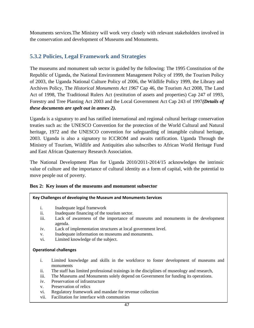Monuments services.The Ministry will work very closely with relevant stakeholders involved in the conservation and development of Museums and Monuments.

# **5.3.2 Policies, Legal Framework and Strategies**

The museums and monument sub sector is guided by the following: The 1995 Constitution of the Republic of Uganda, the National Environment Management Policy of 1999, the Tourism Policy of 2003, the Uganda National Culture Policy of 2006, the Wildlife Policy 1999, the Library and Archives Policy, The *Historical Monuments Act 1967* Cap 46, the Tourism Act 2008, The Land Act of 1998, The Traditional Rulers Act (restitution of assets and properties) Cap 247 of 1993, Forestry and Tree Planting Act 2003 and the Local Government Act Cap 243 of 1997*(Details of these documents are spelt out in annex 2).* 

Uganda is a signatory to and has ratified international and regional cultural heritage conservation treaties such as: the UNESCO Convention for the protection of the World Cultural and Natural heritage, 1972 and the UNESCO convention for safeguarding of intangible cultural heritage, 2003. Uganda is also a signatory to ICCROM and awaits ratification. Uganda Through the Ministry of Tourism, Wildlife and Antiquities also subscribes to African World Heritage Fund and East African Quaternary Research Association.

The National Development Plan for Uganda 2010/2011-2014/15 acknowledges the intrinsic value of culture and the importance of cultural identity as a form of capital, with the potential to move people out of poverty.

### **Box 2: Key issues of the museums and monument subsector**

### **Key Challenges of developing the Museum and Monuments Services**

- i. Inadequate legal framework
- ii. Inadequate financing of the tourism sector.
- iii. Lack of awareness of the importance of museums and monuments in the development agenda.
- iv. Lack of implementation structures at local government level.
- v. Inadequate information on museums and monuments.
- vi. Limited knowledge of the subject.

### **Operational challenges**

- i. Limited knowledge and skills in the workforce to foster development of museums and monuments
- ii. The staff has limited professional trainings in the disciplines of museology and research,
- iii. The Museums and Monuments solely depend on Government for funding its operations.
- iv. Preservation of infrastructure
- v. Preservation of relics
- vi. Regulatory framework and mandate for revenue collection
- vii. Facilitation for interface with communities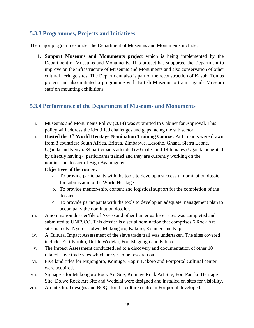# **5.3.3 Programmes, Projects and Initiatives**

The major programmes under the Department of Museums and Monuments include;

1. **Support Museums and Monuments project** which is being implemented by the Department of Museums and Monuments. This project has supported the Department to improve on the infrastructure of Museums and Monuments and also conservation of other cultural heritage sites. The Department also is part of the reconstruction of Kasubi Tombs project and also initiated a programme with British Museum to train Uganda Museum staff on mounting exhibitions.

## **5.3.4 Performance of the Department of Museums and Monuments**

- i. Museums and Monuments Policy (2014) was submitted to Cabinet for Approval. This policy will address the identified challenges and gaps facing the sub sector.
- ii. **Hosted the 3rd World Heritage Nomination Training Course:** Participants were drawn from 8 countries: South Africa, Eritrea, Zimbabwe, Lesotho, Ghana, Sierra Leone, Uganda and Kenya. 34 participants attended (20 males and 14 females).Uganda benefited by directly having 4 participants trained and they are currently working on the nomination dossier of Bigo Byamugenyi.

### **Objectives of the course:**

- a. To provide participants with the tools to develop a successful nomination dossier for submission to the World Heritage List
- b. To provide mentor-ship, content and logistical support for the completion of the dossier.
- c. To provide participants with the tools to develop an adequate management plan to accompany the nomination dossier.
- iii. A nomination dossier/file of Nyero and other hunter gatherer sites was completed and submitted to UNESCO. This dossier is a serial nomination that comprises 6 Rock Art sites namely; Nyero, Dolwe, Mukongoro, Kakoro, Komuge and Kapir.
- iv. A Cultural Impact Assessment of the slave trade trail was undertaken. The sites covered include; Fort Partiko, Dufile,Wedelai, Fort Magungu and Kibiro.
- v. The Impact Assessment conducted led to a discovery and documentation of other 10 related slave trade sites which are yet to be research on.
- vi. Five land titles for Mujongoro, Komuge, Kapir, Kakoro and Fortportal Cultural center were acquired.
- vii. Signage's for Mukongoro Rock Art Site, Komuge Rock Art Site, Fort Partiko Heritage Site, Dolwe Rock Art Site and Wedelai were designed and installed on sites for visibility.
- viii. Architectural designs and BOQs for the culture centre in Fortportal developed.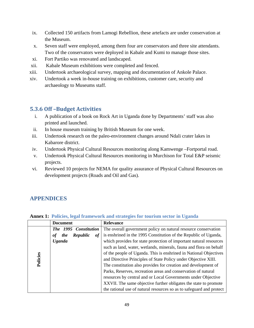- ix. Collected 150 artifacts from Lamogi Rebellion, these artefacts are under conservation at the Museum.
- x. Seven staff were employed, among them four are conservators and three site attendants. Two of the conservators were deployed in Kabale and Kumi to manage those sites.
- xi. Fort Partiko was renovated and landscaped.
- xii. Kabale Museum exhibitions were completed and fenced.
- xiii. Undertook archaeological survey, mapping and documentation of Ankole Palace.
- xiv. Undertook a week in-house training on exhibitions, customer care, security and archaeology to Museums staff.

# **5.3.6 Off –Budget Activities**

- i. A publication of a book on Rock Art in Uganda done by Departments' staff was also printed and launched.
- ii. In house museum training by British Museum for one week.
- iii. Undertook research on the paleo-environment changes around Ndali crater lakes in Kabarore district.
- iv. Undertook Physical Cultural Resources monitoring along Kamwenge –Fortportal road.
- v. Undertook Physical Cultural Resources monitoring in Murchison for Total E&P seismic projects.
- vi. Reviewed 10 projects for NEMA for quality assurance of Physical Cultural Resources on development projects (Roads and Oil and Gas).

# **APPENDICES**

|                       | <b>Document</b>                    | <b>Relevance</b>                                                     |
|-----------------------|------------------------------------|----------------------------------------------------------------------|
| The 1995 Constitution |                                    | The overall government policy on natural resource conservation       |
|                       | Republic<br><i>the</i><br>оf<br>of | is enshrined in the 1995 Constitution of the Republic of Uganda,     |
|                       | <b>Uganda</b>                      | which provides for state protection of important natural resources   |
|                       |                                    | such as land, water, wetlands, minerals, fauna and flora on behalf   |
|                       |                                    | of the people of Uganda. This is enshrined in National Objectives    |
| Policies              |                                    | and Directive Principles of State Policy under Objective XIII.       |
|                       |                                    | The constitution also provides for creation and development of       |
|                       |                                    | Parks, Reserves, recreation areas and conservation of natural        |
|                       |                                    | resources by central and or Local Governments under Objective        |
|                       |                                    | XXVII. The same objective further obligates the state to promote     |
|                       |                                    | the rational use of natural resources so as to safeguard and protect |

### **Annex 1: Policies, legal framework and strategies for tourism sector in Uganda**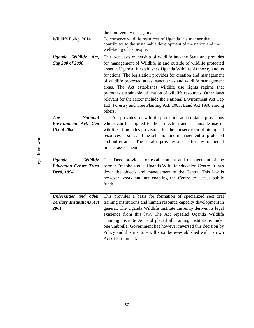|                 | the biodiversity of Uganda                                                            |                                                                                                                                                                                                                                                                                                                                                                                                                                                                                                                                                                                                                                                                                                          |  |  |
|-----------------|---------------------------------------------------------------------------------------|----------------------------------------------------------------------------------------------------------------------------------------------------------------------------------------------------------------------------------------------------------------------------------------------------------------------------------------------------------------------------------------------------------------------------------------------------------------------------------------------------------------------------------------------------------------------------------------------------------------------------------------------------------------------------------------------------------|--|--|
|                 | Wildlife Policy 2014                                                                  | To conserve wildlife resources of Uganda in a manner that<br>contributes to the sustainable development of the nation and the<br>well-being of its people.                                                                                                                                                                                                                                                                                                                                                                                                                                                                                                                                               |  |  |
| Legal framework | <b>Uganda</b><br>Wildlife<br>Act,<br>Cap 200 of 2000<br><b>National</b><br><b>The</b> | This Act vests ownership of wildlife into the State and provides<br>for management of Wildlife in and outside of wildlife protected<br>areas in Uganda. It establishes Uganda Wildlife Authority and its<br>functions. The legislation provides for creation and management<br>of wildlife protected areas, sanctuaries and wildlife management<br>areas. The Act establishes wildlife use rights regime that<br>promotes sustainable utilization of wildlife resources. Other laws<br>relevant for the sector include the National Environment Act Cap<br>153, Forestry and Tree Planting Act, 2003; Land Act 1998 among<br>others.<br>The Act provides for wildlife protection and contains provisions |  |  |
|                 | Environment Act, Cap<br>153 of 2000                                                   | which can be applied to the protection and sustainable use of<br>wildlife. It includes provisions for the conservation of biological<br>resources in situ, and the selection and management of protected<br>and buffer areas. The act also provides a basis for environmental<br>impact assessment.                                                                                                                                                                                                                                                                                                                                                                                                      |  |  |
|                 | <b>Uganda</b><br>Wildlife<br><b>Education Centre Trust</b><br>Deed, 1994              | This Deed provides for establishment and management of the<br>former Entebbe zoo as Uganda Wildlife education Centre. It lays<br>down the objects and management of the Centre. This law is<br>however, weak and not enabling the Centre to access public<br>funds.                                                                                                                                                                                                                                                                                                                                                                                                                                      |  |  |
|                 | Universities and other<br><b>Tertiary Institutions Act</b><br>2001                    | This provides a basis for formation of specialized sect oral<br>training institutions and human resource capacity development in<br>general. The Uganda Wildlife Institute currently derives its legal<br>existence from this law. The Act repealed Uganda Wildlife<br>Training Institute Act and placed all training institutions under<br>one umbrella. Government has however reversed this decision by<br>Policy and this institute will soon be re-established with its own<br>Act of Parliament.                                                                                                                                                                                                   |  |  |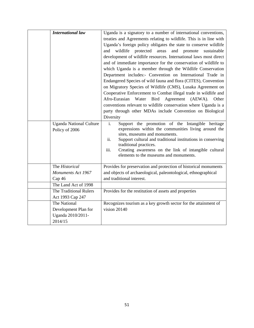| <b>International law</b>                                             | and<br>Diversity                | Uganda is a signatory to a number of international conventions,<br>treaties and Agreements relating to wildlife. This is in line with<br>Uganda's foreign policy obligates the state to conserve wildlife<br>wildlife<br>protected<br>and<br>promote<br>areas<br>sustainable<br>development of wildlife resources. International laws most direct<br>and of immediate importance for the conservation of wildlife to<br>which Uganda is a member through the Wildlife Conservation<br>Department includes:- Convention on International Trade in<br>Endangered Species of wild fauna and flora (CITES), Convention<br>on Migratory Species of Wildlife (CMS), Lusaka Agreement on<br>Cooperative Enforcement to Combat illegal trade in wildlife and<br>Afro-Eurasian<br>Agreement<br>Water<br><b>Bird</b><br>(AEWA).<br>Other<br>conventions relevant to wildlife conservation where Uganda is a<br>party through other MDAs include Convention on Biological |
|----------------------------------------------------------------------|---------------------------------|----------------------------------------------------------------------------------------------------------------------------------------------------------------------------------------------------------------------------------------------------------------------------------------------------------------------------------------------------------------------------------------------------------------------------------------------------------------------------------------------------------------------------------------------------------------------------------------------------------------------------------------------------------------------------------------------------------------------------------------------------------------------------------------------------------------------------------------------------------------------------------------------------------------------------------------------------------------|
| <b>Uganda National Culture</b><br>Policy of 2006                     | $\overline{i}$ .<br>ii.<br>iii. | Support the promotion of the Intangible heritage<br>expressions within the communities living around the<br>sites, museums and monuments.<br>Support cultural and traditional institutions in conserving<br>traditional practices.<br>Creating awareness on the link of intangible cultural<br>elements to the museums and monuments.                                                                                                                                                                                                                                                                                                                                                                                                                                                                                                                                                                                                                          |
| The Historical                                                       |                                 | Provides for preservation and protection of historical monuments                                                                                                                                                                                                                                                                                                                                                                                                                                                                                                                                                                                                                                                                                                                                                                                                                                                                                               |
| Monuments Act 1967                                                   |                                 | and objects of archaeological, paleontological, ethnographical                                                                                                                                                                                                                                                                                                                                                                                                                                                                                                                                                                                                                                                                                                                                                                                                                                                                                                 |
| Cap 46                                                               |                                 | and traditional interest.                                                                                                                                                                                                                                                                                                                                                                                                                                                                                                                                                                                                                                                                                                                                                                                                                                                                                                                                      |
| The Land Act of 1998                                                 |                                 |                                                                                                                                                                                                                                                                                                                                                                                                                                                                                                                                                                                                                                                                                                                                                                                                                                                                                                                                                                |
| The Traditional Rulers<br>Act 1993 Cap 247                           |                                 | Provides for the restitution of assets and properties                                                                                                                                                                                                                                                                                                                                                                                                                                                                                                                                                                                                                                                                                                                                                                                                                                                                                                          |
| The National<br>Development Plan for<br>Uganda 2010/2011-<br>2014/15 |                                 | Recognizes tourism as a key growth sector for the attainment of<br>vision 20140                                                                                                                                                                                                                                                                                                                                                                                                                                                                                                                                                                                                                                                                                                                                                                                                                                                                                |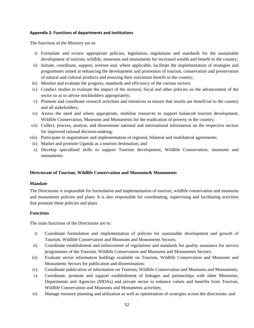#### **Appendix 2: Functions of departments and Institutions**

The functions of the Ministry are to:

- i) Formulate and review appropriate policies, legislation, regulations and standards for the sustainable development of tourism, wildlife, museums and monuments for increased wealth and benefit to the country;
- ii) Initiate, coordinate, support, oversee and, where applicable, facilitate the implementation of strategies and programmes aimed at enhancing the development and promotion of tourism, conservation and preservation of natural and cultural products and ensuring their maximum benefit to the country;
- iii) Monitor and evaluate the progress, standards and efficiency of the various sectors;
- iv) Conduct studies to evaluate the impact of the sectoral, fiscal and other policies on the advancement of the sector so as to advise stockholders appropriately;
- v) Promote and coordinate research activities and initiatives to ensure that results are beneficial to the country and all stakeholders;
- vi) Assess the need and where appropriate, mobilise resources to support balanced tourism development, Wildlife Conservation, Museums and Monuments for the eradication of poverty in the country;
- vii) Collect, process, analyse, and disseminate national and international information on the respective sectors for improved rational decision-making;
- viii) Participate in negotiations and implementation of regional, bilateral and multilateral agreements;
- ix) Market and promote Uganda as a tourism destination; and
- x) Develop specialised skills to support Tourism development, Wildlife Conservation, museums and monuments.

#### **Directorate of Tourism, Wildlife Conservation and Museums& Monuments**

#### **Mandate**

The Directorate is responsible for formulation and implementation of tourism, wildlife conservation and museums and monuments policies and plans. It is also responsible for coordinating, supervising and facilitating activities that promote these policies and plans

#### **Functions**

The main functions of the Directorate are to:

- i) Coordinate formulation and implementation of policies for sustainable development and growth of Tourism, Wildlife Conservation and Museums and Monuments Sectors;
- ii) Coordinate establishment and enforcement of regulations and standards for quality assurance for service programmes of the Tourism, Wildlife Conservation and Museums and Monuments Sectors;
- iii) Evaluate sector information holdings available on Tourism, Wildlife Conservation and Museums and Monuments Sectors for publication and dissemination;
- iv) Coordinate publication of information on Tourism, Wildlife Conservation and Museums and Monuments;
- v) Coordinate, promote and support establishment of linkages and partnerships with other Ministries, Departments and Agencies (MDAs) and private sector to enhance values and benefits from Tourism, Wildlife Conservation and Museums and Monuments activities;
- vi) Manage resource planning and utilisation as well as optimisation of synergies across the directorate; and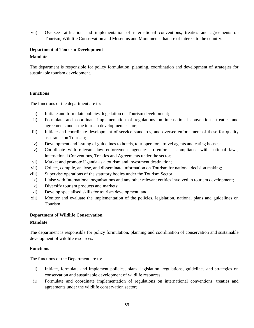vii) Oversee ratification and implementation of international conventions, treaties and agreements on Tourism, Wildlife Conservation and Museums and Monuments that are of interest to the country.

## **Department of Tourism Development**

## **Mandate**

The department is responsible for policy formulation, planning, coordination and development of strategies for sustainable tourism development.

## **Functions**

The functions of the department are to:

- i) Initiate and formulate policies, legislation on Tourism development;
- ii) Formulate and coordinate implementation of regulations on international conventions, treaties and agreements under the tourism development sector;
- iii) Initiate and coordinate development of service standards, and oversee enforcement of these for quality assurance on Tourism;
- iv) Development and issuing of guidelines to hotels, tour operators, travel agents and eating houses;
- v) Coordinate with relevant law enforcement agencies to enforce compliance with national laws, international Conventions, Treaties and Agreements under the sector;
- vi) Market and promote Uganda as a tourism and investment destination;
- vii) Collect, compile, analyse, and disseminate information on Tourism for national decision making;
- viii) Supervise operations of the statutory bodies under the Tourism Sector;
- ix) Liaise with International organisations and any other relevant entities involved in tourism development;
- x) Diversify tourism products and markets;
- xi) Develop specialised skills for tourism development; and
- xii) Monitor and evaluate the implementation of the policies, legislation, national plans and guidelines on Tourism.

## **Department of Wildlife Conservation**

## **Mandate**

The department is responsible for policy formulation, planning and coordination of conservation and sustainable development of wildlife resources.

# **Functions**

The functions of the Department are to:

- i) Initiate, formulate and implement policies, plans, legislation, regulations, guidelines and strategies on conservation and sustainable development of wildlife resources;
- ii) Formulate and coordinate implementation of regulations on international conventions, treaties and agreements under the wildlife conservation sector;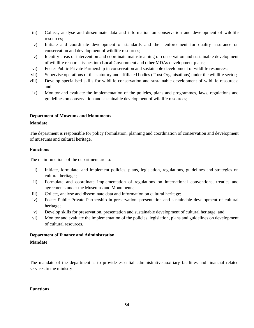- iii) Collect, analyse and disseminate data and information on conservation and development of wildlife resources;
- iv) Initiate and coordinate development of standards and their enforcement for quality assurance on conservation and development of wildlife resources;
- v) Identify areas of intervention and coordinate mainstreaming of conservation and sustainable development of wildlife resource issues into Local Government and other MDAs development plans;
- vi) Foster Public Private Partnership in conservation and sustainable development of wildlife resources;
- vii) Supervise operations of the statutory and affiliated bodies (Trust Organisations) under the wildlife sector;
- viii) Develop specialised skills for wildlife conservation and sustainable development of wildlife resources; and
- ix) Monitor and evaluate the implementation of the policies, plans and programmes, laws, regulations and guidelines on conservation and sustainable development of wildlife resources;

### **Department of Museums and Monuments**

### **Mandate**

The department is responsible for policy formulation, planning and coordination of conservation and development of museums and cultural heritage.

### **Functions**

The main functions of the department are to:

- i) Initiate, formulate, and implement policies, plans, legislation, regulations, guidelines and strategies on cultural heritage ;
- ii) Formulate and coordinate implementation of regulations on international conventions, treaties and agreements under the Museums and Monuments;
- iii) Collect, analyse and disseminate data and information on cultural heritage;
- iv) Foster Public Private Partnership in preservation, presentation and sustainable development of cultural heritage;
- v) Develop skills for preservation, presentation and sustainable development of cultural heritage; and
- vi) Monitor and evaluate the implementation of the policies, legislation, plans and guidelines on development of cultural resources.

## **Department of Finance and Administration**

## **Mandate**

The mandate of the department is to provide essential administrative,auxiliary facilities and financial related services to the ministry.

#### **Functions**